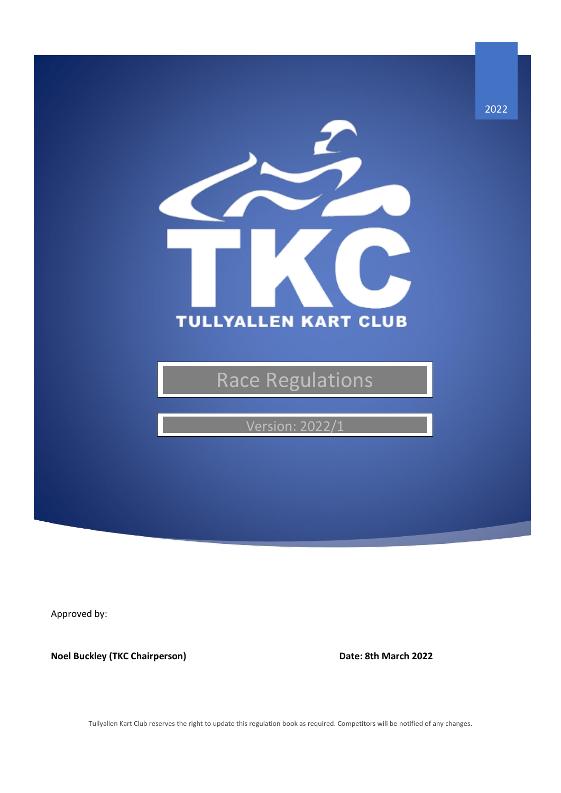

Approved by:

**Noel Buckley (TKC Chairperson) Date: 8th March 2022** 

Tullyallen Kart Club reserves the right to update this regulation book as required. Competitors will be notified of any changes.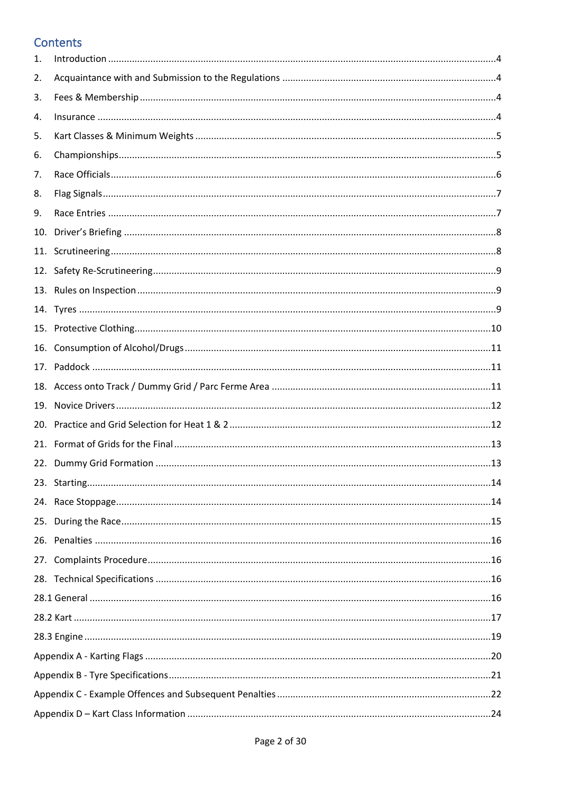## Contents

| 1.  |  |  |  |
|-----|--|--|--|
| 2.  |  |  |  |
| 3.  |  |  |  |
| 4.  |  |  |  |
| 5.  |  |  |  |
| 6.  |  |  |  |
| 7.  |  |  |  |
| 8.  |  |  |  |
| 9.  |  |  |  |
| 10. |  |  |  |
| 11. |  |  |  |
| 12. |  |  |  |
|     |  |  |  |
|     |  |  |  |
|     |  |  |  |
| 16. |  |  |  |
|     |  |  |  |
|     |  |  |  |
| 19. |  |  |  |
|     |  |  |  |
|     |  |  |  |
| 22. |  |  |  |
|     |  |  |  |
|     |  |  |  |
| 25. |  |  |  |
|     |  |  |  |
|     |  |  |  |
|     |  |  |  |
|     |  |  |  |
|     |  |  |  |
|     |  |  |  |
|     |  |  |  |
|     |  |  |  |
|     |  |  |  |
|     |  |  |  |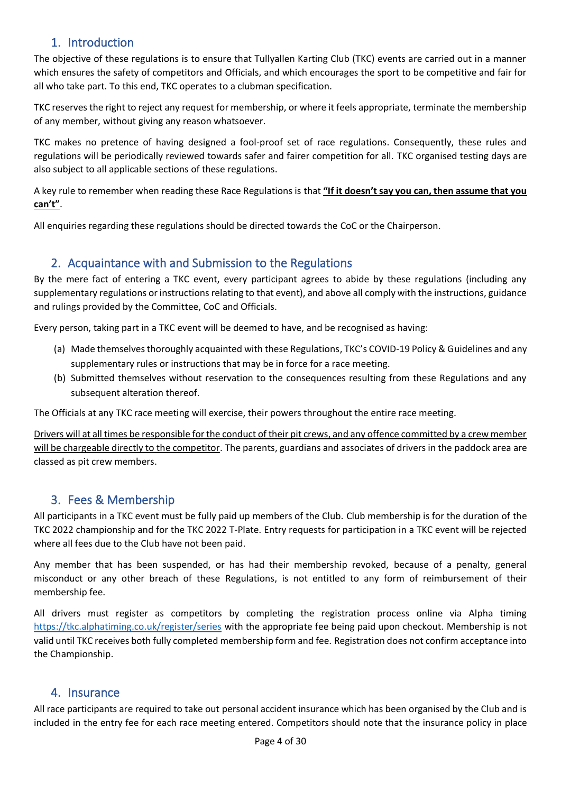## 1. Introduction

<span id="page-3-0"></span>The objective of these regulations is to ensure that Tullyallen Karting Club (TKC) events are carried out in a manner which ensures the safety of competitors and Officials, and which encourages the sport to be competitive and fair for all who take part. To this end, TKC operates to a clubman specification.

TKC reserves the right to reject any request for membership, or where it feels appropriate, terminate the membership of any member, without giving any reason whatsoever.

TKC makes no pretence of having designed a fool-proof set of race regulations. Consequently, these rules and regulations will be periodically reviewed towards safer and fairer competition for all. TKC organised testing days are also subject to all applicable sections of these regulations.

A key rule to remember when reading these Race Regulations is that **"If it doesn't say you can, then assume that you can't"**.

<span id="page-3-1"></span>All enquiries regarding these regulations should be directed towards the CoC or the Chairperson.

## 2. Acquaintance with and Submission to the Regulations

By the mere fact of entering a TKC event, every participant agrees to abide by these regulations (including any supplementary regulations or instructions relating to that event), and above all comply with the instructions, guidance and rulings provided by the Committee, CoC and Officials.

Every person, taking part in a TKC event will be deemed to have, and be recognised as having:

- (a) Made themselves thoroughly acquainted with these Regulations, TKC's COVID-19 Policy & Guidelines and any supplementary rules or instructions that may be in force for a race meeting.
- (b) Submitted themselves without reservation to the consequences resulting from these Regulations and any subsequent alteration thereof.

The Officials at any TKC race meeting will exercise, their powers throughout the entire race meeting.

Drivers will at all times be responsible for the conduct of their pit crews, and any offence committed by a crew member will be chargeable directly to the competitor. The parents, guardians and associates of drivers in the paddock area are classed as pit crew members.

## <span id="page-3-2"></span>3. Fees & Membership

All participants in a TKC event must be fully paid up members of the Club. Club membership is for the duration of the TKC 2022 championship and for the TKC 2022 T-Plate. Entry requests for participation in a TKC event will be rejected where all fees due to the Club have not been paid.

Any member that has been suspended, or has had their membership revoked, because of a penalty, general misconduct or any other breach of these Regulations, is not entitled to any form of reimbursement of their membership fee.

All drivers must register as competitors by completing the registration process online via Alpha timing <https://tkc.alphatiming.co.uk/register/series> with the appropriate fee being paid upon checkout. Membership is not valid until TKC receives both fully completed membership form and fee. Registration does not confirm acceptance into the Championship.

### <span id="page-3-3"></span>4. Insurance

All race participants are required to take out personal accident insurance which has been organised by the Club and is included in the entry fee for each race meeting entered. Competitors should note that the insurance policy in place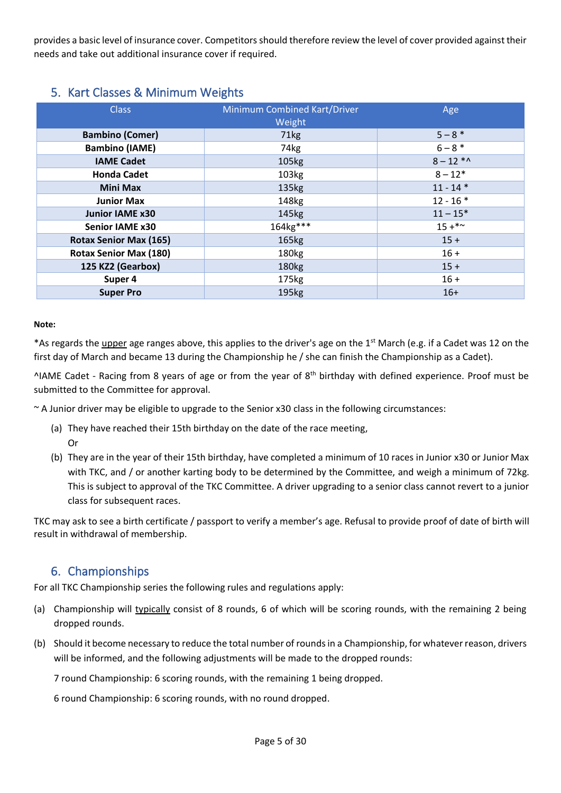provides a basic level of insurance cover. Competitors should therefore review the level of cover provided against their needs and take out additional insurance cover if required.

## <span id="page-4-0"></span>5. Kart Classes & Minimum Weights

| <b>Class</b>                  | <b>Minimum Combined Kart/Driver</b><br>Weight | Age           |
|-------------------------------|-----------------------------------------------|---------------|
| <b>Bambino (Comer)</b>        | 71kg                                          | $5 - 8*$      |
| <b>Bambino (IAME)</b>         | 74kg                                          | $6 - 8 *$     |
| <b>IAME Cadet</b>             | 105kg                                         | $8 - 12 *$    |
| <b>Honda Cadet</b>            | 103kg                                         | $8 - 12*$     |
| <b>Mini Max</b>               | 135kg                                         | $11 - 14$ *   |
| <b>Junior Max</b>             | 148kg                                         | $12 - 16*$    |
| <b>Junior IAME x30</b>        | 145kg                                         | $11 - 15*$    |
| <b>Senior IAME x30</b>        | 164kg***                                      | $15 + * \sim$ |
| <b>Rotax Senior Max (165)</b> | 165kg                                         | $15 +$        |
| <b>Rotax Senior Max (180)</b> | 180 <sub>kg</sub>                             | $16 +$        |
| 125 KZ2 (Gearbox)             | 180 <sub>kg</sub>                             | $15 +$        |
| Super 4                       | 175kg                                         | $16 +$        |
| <b>Super Pro</b>              | 195kg                                         | $16+$         |

#### **Note:**

Or

\*As regards the *upper* age ranges above, this applies to the driver's age on the 1<sup>st</sup> March (e.g. if a Cadet was 12 on the first day of March and became 13 during the Championship he / she can finish the Championship as a Cadet).

 $\Delta$ IAME Cadet - Racing from 8 years of age or from the year of 8<sup>th</sup> birthday with defined experience. Proof must be submitted to the Committee for approval.

~ A Junior driver may be eligible to upgrade to the Senior x30 class in the following circumstances:

- (a) They have reached their 15th birthday on the date of the race meeting,
- (b) They are in the year of their 15th birthday, have completed a minimum of 10 races in Junior x30 or Junior Max with TKC, and / or another karting body to be determined by the Committee, and weigh a minimum of 72kg. This is subject to approval of the TKC Committee. A driver upgrading to a senior class cannot revert to a junior class for subsequent races.

<span id="page-4-1"></span>TKC may ask to see a birth certificate / passport to verify a member's age. Refusal to provide proof of date of birth will result in withdrawal of membership.

## 6. Championships

For all TKC Championship series the following rules and regulations apply:

- (a) Championship will typically consist of 8 rounds, 6 of which will be scoring rounds, with the remaining 2 being dropped rounds.
- (b) Should it become necessary to reduce the total number of rounds in a Championship, for whatever reason, drivers will be informed, and the following adjustments will be made to the dropped rounds:

7 round Championship: 6 scoring rounds, with the remaining 1 being dropped.

6 round Championship: 6 scoring rounds, with no round dropped.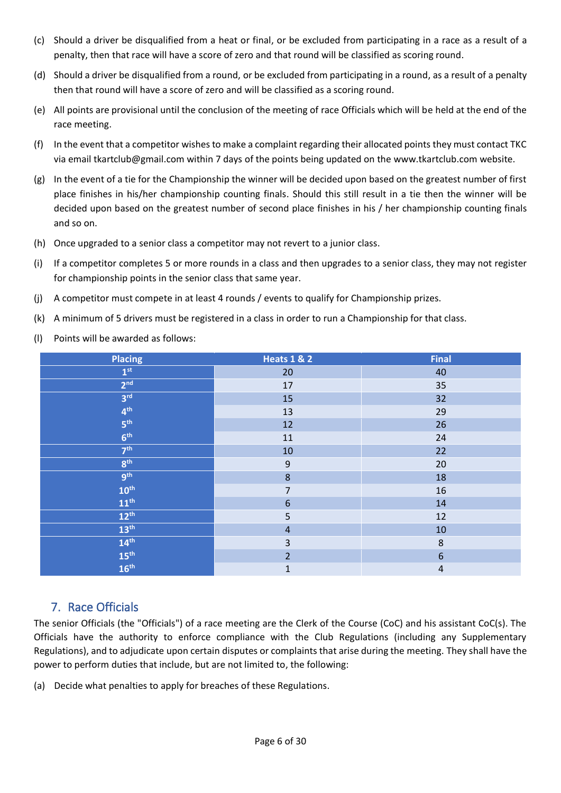- (c) Should a driver be disqualified from a heat or final, or be excluded from participating in a race as a result of a penalty, then that race will have a score of zero and that round will be classified as scoring round.
- (d) Should a driver be disqualified from a round, or be excluded from participating in a round, as a result of a penalty then that round will have a score of zero and will be classified as a scoring round.
- (e) All points are provisional until the conclusion of the meeting of race Officials which will be held at the end of the race meeting.
- (f) In the event that a competitor wishes to make a complaint regarding their allocated points they must contact TKC via email [tkartclub@gmail.com](mailto:tkartclub@gmail.com) within 7 days of the points being updated on the [www.tkartclub.com](http://www.tkartclub.com/) website.
- (g) In the event of a tie for the Championship the winner will be decided upon based on the greatest number of first place finishes in his/her championship counting finals. Should this still result in a tie then the winner will be decided upon based on the greatest number of second place finishes in his / her championship counting finals and so on.
- (h) Once upgraded to a senior class a competitor may not revert to a junior class.
- (i) If a competitor completes 5 or more rounds in a class and then upgrades to a senior class, they may not register for championship points in the senior class that same year.
- (j) A competitor must compete in at least 4 rounds / events to qualify for Championship prizes.
- (k) A minimum of 5 drivers must be registered in a class in order to run a Championship for that class.
- (l) Points will be awarded as follows:

| <b>Placing</b>   | <b>Heats 1 &amp; 2</b>  | <b>Final</b>     |
|------------------|-------------------------|------------------|
| 1 <sup>st</sup>  | 20                      | 40               |
| 2 <sup>nd</sup>  | $17\,$                  | 35               |
| 3 <sup>rd</sup>  | 15                      | 32               |
| 4 <sup>th</sup>  | 13                      | 29               |
| 5 <sup>th</sup>  | 12                      | 26               |
| 6 <sup>th</sup>  | 11                      | 24               |
| 7 <sup>th</sup>  | $10\,$                  | 22               |
| 8 <sup>th</sup>  | $\mathsf 9$             | 20               |
| <b>gth</b>       | $\bf 8$                 | 18               |
| $10^{\text{th}}$ | $\overline{7}$          | 16               |
| $11^{\text{th}}$ | $\boldsymbol{6}$        | $14\,$           |
| $12^{\text{th}}$ | 5                       | 12               |
| $13^{\text{th}}$ | $\overline{4}$          | 10               |
| 14 <sup>th</sup> | $\overline{\mathbf{3}}$ | $\bf 8$          |
| $\rm 15^{th}$    | $\overline{2}$          | $\boldsymbol{6}$ |
| 16 <sup>th</sup> | $\mathbf{1}$            | $\sqrt{4}$       |

## <span id="page-5-0"></span>7. Race Officials

The senior Officials (the "Officials") of a race meeting are the Clerk of the Course (CoC) and his assistant CoC(s). The Officials have the authority to enforce compliance with the Club Regulations (including any Supplementary Regulations), and to adjudicate upon certain disputes or complaints that arise during the meeting. They shall have the power to perform duties that include, but are not limited to, the following:

(a) Decide what penalties to apply for breaches of these Regulations.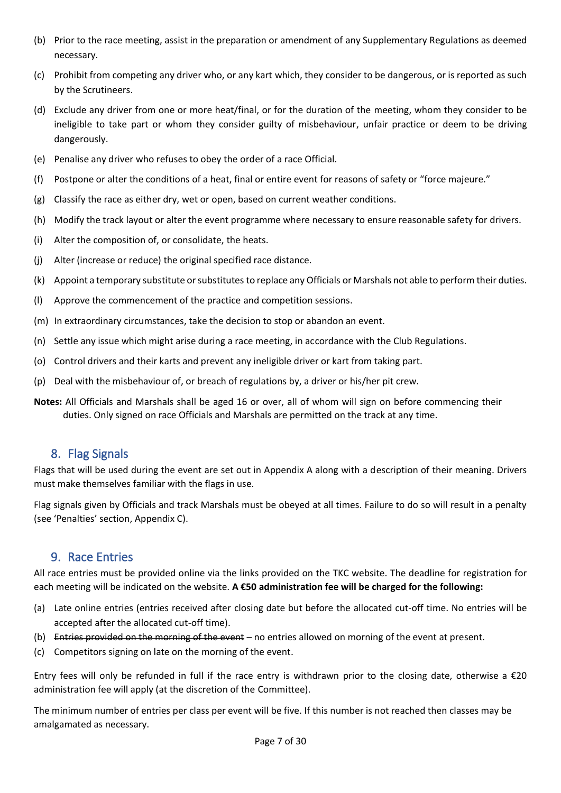- (b) Prior to the race meeting, assist in the preparation or amendment of any Supplementary Regulations as deemed necessary.
- (c) Prohibit from competing any driver who, or any kart which, they consider to be dangerous, or is reported as such by the Scrutineers.
- (d) Exclude any driver from one or more heat/final, or for the duration of the meeting, whom they consider to be ineligible to take part or whom they consider guilty of misbehaviour, unfair practice or deem to be driving dangerously.
- (e) Penalise any driver who refuses to obey the order of a race Official.
- (f) Postpone or alter the conditions of a heat, final or entire event for reasons of safety or "force majeure."
- (g) Classify the race as either dry, wet or open, based on current weather conditions.
- (h) Modify the track layout or alter the event programme where necessary to ensure reasonable safety for drivers.
- (i) Alter the composition of, or consolidate, the heats.
- (j) Alter (increase or reduce) the original specified race distance.
- (k) Appoint a temporary substitute or substitutes to replace any Officials or Marshals not able to perform their duties.
- (l) Approve the commencement of the practice and competition sessions.
- (m) In extraordinary circumstances, take the decision to stop or abandon an event.
- (n) Settle any issue which might arise during a race meeting, in accordance with the Club Regulations.
- (o) Control drivers and their karts and prevent any ineligible driver or kart from taking part.
- (p) Deal with the misbehaviour of, or breach of regulations by, a driver or his/her pit crew.
- <span id="page-6-0"></span>**Notes:** All Officials and Marshals shall be aged 16 or over, all of whom will sign on before commencing their duties. Only signed on race Officials and Marshals are permitted on the track at any time.

### 8. Flag Signals

Flags that will be used during the event are set out in Appendix A along with a description of their meaning. Drivers must make themselves familiar with the flags in use.

<span id="page-6-1"></span>Flag signals given by Officials and track Marshals must be obeyed at all times. Failure to do so will result in a penalty (see 'Penalties' section, Appendix C).

## 9. Race Entries

All race entries must be provided online via the links provided on the TKC website. The deadline for registration for each meeting will be indicated on the website. **A €50 administration fee will be charged for the following:**

- (a) Late online entries (entries received after closing date but before the allocated cut-off time. No entries will be accepted after the allocated cut-off time).
- (b) Entries provided on the morning of the event no entries allowed on morning of the event at present.
- (c) Competitors signing on late on the morning of the event.

Entry fees will only be refunded in full if the race entry is withdrawn prior to the closing date, otherwise a  $\epsilon$ 20 administration fee will apply (at the discretion of the Committee).

The minimum number of entries per class per event will be five. If this number is not reached then classes may be amalgamated as necessary.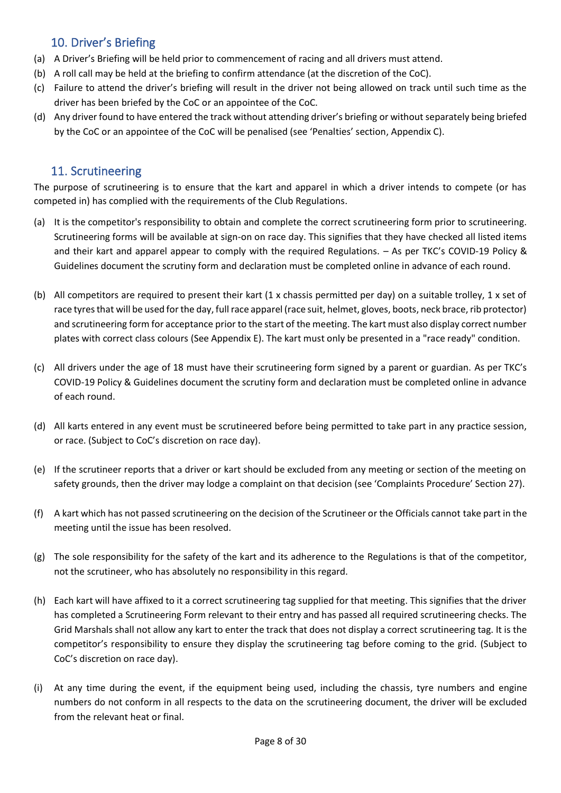## <span id="page-7-0"></span>10. Driver's Briefing

- (a) A Driver's Briefing will be held prior to commencement of racing and all drivers must attend.
- (b) A roll call may be held at the briefing to confirm attendance (at the discretion of the CoC).
- (c) Failure to attend the driver's briefing will result in the driver not being allowed on track until such time as the driver has been briefed by the CoC or an appointee of the CoC.
- (d) Any driver found to have entered the track without attending driver's briefing or without separately being briefed by the CoC or an appointee of the CoC will be penalised (see 'Penalties' section, Appendix C).

## <span id="page-7-1"></span>11. Scrutineering

The purpose of scrutineering is to ensure that the kart and apparel in which a driver intends to compete (or has competed in) has complied with the requirements of the Club Regulations.

- (a) It is the competitor's responsibility to obtain and complete the correct scrutineering form prior to scrutineering. Scrutineering forms will be available at sign-on on race day. This signifies that they have checked all listed items and their kart and apparel appear to comply with the required Regulations. – As per TKC's COVID-19 Policy & Guidelines document the scrutiny form and declaration must be completed online in advance of each round.
- (b) All competitors are required to present their kart (1 x chassis permitted per day) on a suitable trolley, 1 x set of race tyres that will be used for the day, full race apparel (race suit, helmet, gloves, boots, neck brace, rib protector) and scrutineering form for acceptance prior to the start of the meeting. The kart must also display correct number plates with correct class colours (See Appendix E). The kart must only be presented in a "race ready" condition.
- (c) All drivers under the age of 18 must have their scrutineering form signed by a parent or guardian. As per TKC's COVID-19 Policy & Guidelines document the scrutiny form and declaration must be completed online in advance of each round.
- (d) All karts entered in any event must be scrutineered before being permitted to take part in any practice session, or race. (Subject to CoC's discretion on race day).
- (e) If the scrutineer reports that a driver or kart should be excluded from any meeting or section of the meeting on safety grounds, then the driver may lodge a complaint on that decision (see 'Complaints Procedure' Section 27).
- (f) A kart which has not passed scrutineering on the decision of the Scrutineer or the Officials cannot take part in the meeting until the issue has been resolved.
- (g) The sole responsibility for the safety of the kart and its adherence to the Regulations is that of the competitor, not the scrutineer, who has absolutely no responsibility in this regard.
- (h) Each kart will have affixed to it a correct scrutineering tag supplied for that meeting. This signifies that the driver has completed a Scrutineering Form relevant to their entry and has passed all required scrutineering checks. The Grid Marshals shall not allow any kart to enter the track that does not display a correct scrutineering tag. It is the competitor's responsibility to ensure they display the scrutineering tag before coming to the grid. (Subject to CoC's discretion on race day).
- (i) At any time during the event, if the equipment being used, including the chassis, tyre numbers and engine numbers do not conform in all respects to the data on the scrutineering document, the driver will be excluded from the relevant heat or final.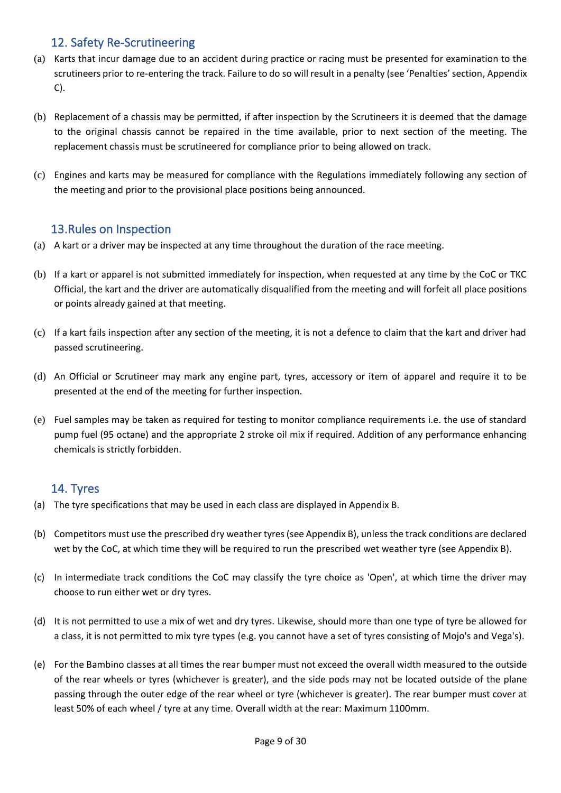## <span id="page-8-0"></span>12. Safety Re-Scrutineering

- (a) Karts that incur damage due to an accident during practice or racing must be presented for examination to the scrutineers prior to re-entering the track. Failure to do so will result in a penalty (see 'Penalties' section, Appendix C).
- (b) Replacement of a chassis may be permitted, if after inspection by the Scrutineers it is deemed that the damage to the original chassis cannot be repaired in the time available, prior to next section of the meeting. The replacement chassis must be scrutineered for compliance prior to being allowed on track.
- <span id="page-8-1"></span>(c) Engines and karts may be measured for compliance with the Regulations immediately following any section of the meeting and prior to the provisional place positions being announced.

## 13.Rules on Inspection

- (a) A kart or a driver may be inspected at any time throughout the duration of the race meeting.
- (b) If a kart or apparel is not submitted immediately for inspection, when requested at any time by the CoC or TKC Official, the kart and the driver are automatically disqualified from the meeting and will forfeit all place positions or points already gained at that meeting.
- (c) If a kart fails inspection after any section of the meeting, it is not a defence to claim that the kart and driver had passed scrutineering.
- (d) An Official or Scrutineer may mark any engine part, tyres, accessory or item of apparel and require it to be presented at the end of the meeting for further inspection.
- (e) Fuel samples may be taken as required for testing to monitor compliance requirements i.e. the use of standard pump fuel (95 octane) and the appropriate 2 stroke oil mix if required. Addition of any performance enhancing chemicals is strictly forbidden.

## <span id="page-8-2"></span>14. Tyres

- (a) The tyre specifications that may be used in each class are displayed in Appendix B.
- (b) Competitors must use the prescribed dry weather tyres (see Appendix B), unless the track conditions are declared wet by the CoC, at which time they will be required to run the prescribed wet weather tyre (see Appendix B).
- (c) In intermediate track conditions the CoC may classify the tyre choice as 'Open', at which time the driver may choose to run either wet or dry tyres.
- (d) It is not permitted to use a mix of wet and dry tyres. Likewise, should more than one type of tyre be allowed for a class, it is not permitted to mix tyre types (e.g. you cannot have a set of tyres consisting of Mojo's and Vega's).
- (e) For the Bambino classes at all times the rear bumper must not exceed the overall width measured to the outside of the rear wheels or tyres (whichever is greater), and the side pods may not be located outside of the plane passing through the outer edge of the rear wheel or tyre (whichever is greater). The rear bumper must cover at least 50% of each wheel / tyre at any time. Overall width at the rear: Maximum 1100mm.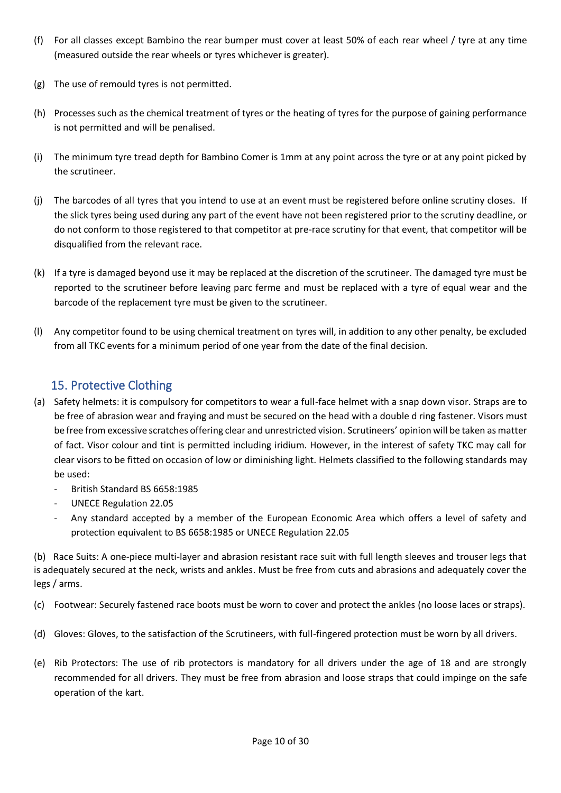- (f) For all classes except Bambino the rear bumper must cover at least 50% of each rear wheel / tyre at any time (measured outside the rear wheels or tyres whichever is greater).
- (g) The use of remould tyres is not permitted.
- (h) Processes such as the chemical treatment of tyres or the heating of tyres for the purpose of gaining performance is not permitted and will be penalised.
- (i) The minimum tyre tread depth for Bambino Comer is 1mm at any point across the tyre or at any point picked by the scrutineer.
- (j) The barcodes of all tyres that you intend to use at an event must be registered before online scrutiny closes. If the slick tyres being used during any part of the event have not been registered prior to the scrutiny deadline, or do not conform to those registered to that competitor at pre-race scrutiny for that event, that competitor will be disqualified from the relevant race.
- (k) If a tyre is damaged beyond use it may be replaced at the discretion of the scrutineer. The damaged tyre must be reported to the scrutineer before leaving parc ferme and must be replaced with a tyre of equal wear and the barcode of the replacement tyre must be given to the scrutineer.
- (l) Any competitor found to be using chemical treatment on tyres will, in addition to any other penalty, be excluded from all TKC events for a minimum period of one year from the date of the final decision.

## <span id="page-9-0"></span>15. Protective Clothing

- (a) Safety helmets: it is compulsory for competitors to wear a full-face helmet with a snap down visor. Straps are to be free of abrasion wear and fraying and must be secured on the head with a double d ring fastener. Visors must be free from excessive scratches offering clear and unrestricted vision. Scrutineers' opinion will be taken as matter of fact. Visor colour and tint is permitted including iridium. However, in the interest of safety TKC may call for clear visors to be fitted on occasion of low or diminishing light. Helmets classified to the following standards may be used:
	- British Standard BS 6658:1985
	- UNECE Regulation 22.05
	- Any standard accepted by a member of the European Economic Area which offers a level of safety and protection equivalent to BS 6658:1985 or UNECE Regulation 22.05

(b) Race Suits: A one-piece multi-layer and abrasion resistant race suit with full length sleeves and trouser legs that is adequately secured at the neck, wrists and ankles. Must be free from cuts and abrasions and adequately cover the legs / arms.

(c) Footwear: Securely fastened race boots must be worn to cover and protect the ankles (no loose laces or straps).

- (d) Gloves: Gloves, to the satisfaction of the Scrutineers, with full-fingered protection must be worn by all drivers.
- (e) Rib Protectors: The use of rib protectors is mandatory for all drivers under the age of 18 and are strongly recommended for all drivers. They must be free from abrasion and loose straps that could impinge on the safe operation of the kart.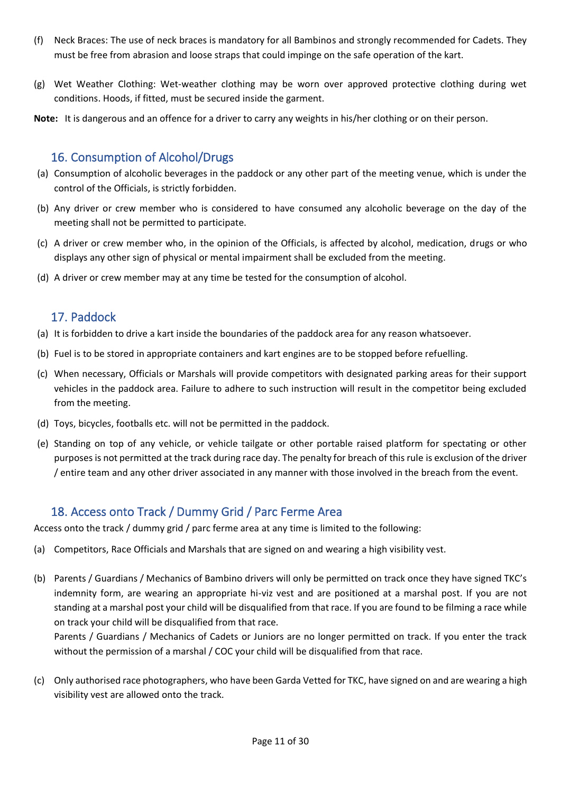- (f) Neck Braces: The use of neck braces is mandatory for all Bambinos and strongly recommended for Cadets. They must be free from abrasion and loose straps that could impinge on the safe operation of the kart.
- (g) Wet Weather Clothing: Wet-weather clothing may be worn over approved protective clothing during wet conditions. Hoods, if fitted, must be secured inside the garment.
- **Note:** It is dangerous and an offence for a driver to carry any weights in his/her clothing or on their person.

## <span id="page-10-0"></span>16. Consumption of Alcohol/Drugs

- (a) Consumption of alcoholic beverages in the paddock or any other part of the meeting venue, which is under the control of the Officials, is strictly forbidden.
- (b) Any driver or crew member who is considered to have consumed any alcoholic beverage on the day of the meeting shall not be permitted to participate.
- (c) A driver or crew member who, in the opinion of the Officials, is affected by alcohol, medication, drugs or who displays any other sign of physical or mental impairment shall be excluded from the meeting.
- (d) A driver or crew member may at any time be tested for the consumption of alcohol.

## <span id="page-10-1"></span>17. Paddock

- (a) It is forbidden to drive a kart inside the boundaries of the paddock area for any reason whatsoever.
- (b) Fuel is to be stored in appropriate containers and kart engines are to be stopped before refuelling.
- (c) When necessary, Officials or Marshals will provide competitors with designated parking areas for their support vehicles in the paddock area. Failure to adhere to such instruction will result in the competitor being excluded from the meeting.
- (d) Toys, bicycles, footballs etc. will not be permitted in the paddock.
- (e) Standing on top of any vehicle, or vehicle tailgate or other portable raised platform for spectating or other purposes is not permitted at the track during race day. The penalty for breach of this rule is exclusion of the driver / entire team and any other driver associated in any manner with those involved in the breach from the event.

## <span id="page-10-2"></span>18. Access onto Track / Dummy Grid / Parc Ferme Area

Access onto the track / dummy grid / parc ferme area at any time is limited to the following:

- (a) Competitors, Race Officials and Marshals that are signed on and wearing a high visibility vest.
- (b) Parents / Guardians / Mechanics of Bambino drivers will only be permitted on track once they have signed TKC's indemnity form, are wearing an appropriate hi-viz vest and are positioned at a marshal post. If you are not standing at a marshal post your child will be disqualified from that race. If you are found to be filming a race while on track your child will be disqualified from that race.

Parents / Guardians / Mechanics of Cadets or Juniors are no longer permitted on track. If you enter the track without the permission of a marshal / COC your child will be disqualified from that race.

(c) Only authorised race photographers, who have been Garda Vetted for TKC, have signed on and are wearing a high visibility vest are allowed onto the track.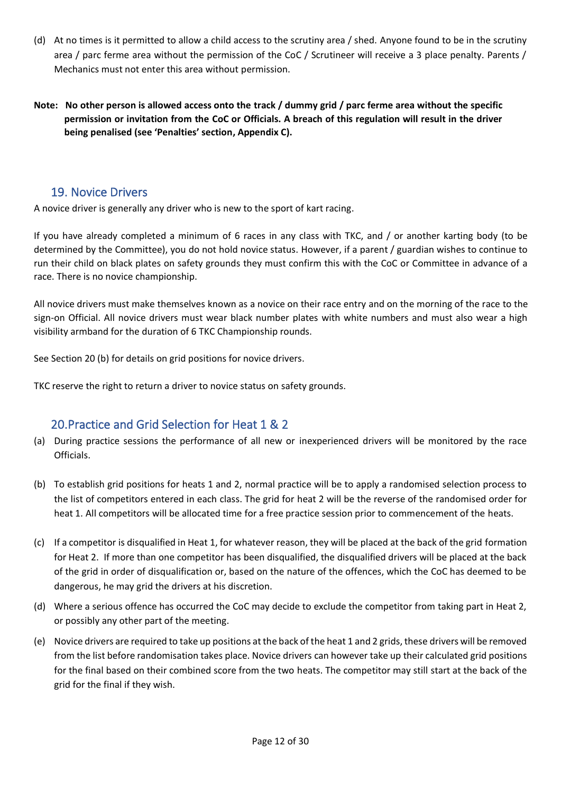- (d) At no times is it permitted to allow a child access to the scrutiny area / shed. Anyone found to be in the scrutiny area / parc ferme area without the permission of the CoC / Scrutineer will receive a 3 place penalty. Parents / Mechanics must not enter this area without permission.
- **Note: No other person is allowed access onto the track / dummy grid / parc ferme area without the specific permission or invitation from the CoC or Officials. A breach of this regulation will result in the driver being penalised (see 'Penalties' section, Appendix C).**

## <span id="page-11-0"></span>19. Novice Drivers

A novice driver is generally any driver who is new to the sport of kart racing.

If you have already completed a minimum of 6 races in any class with TKC, and / or another karting body (to be determined by the Committee), you do not hold novice status. However, if a parent / guardian wishes to continue to run their child on black plates on safety grounds they must confirm this with the CoC or Committee in advance of a race. There is no novice championship.

All novice drivers must make themselves known as a novice on their race entry and on the morning of the race to the sign-on Official. All novice drivers must wear black number plates with white numbers and must also wear a high visibility armband for the duration of 6 TKC Championship rounds.

See Section 20 (b) for details on grid positions for novice drivers.

<span id="page-11-1"></span>TKC reserve the right to return a driver to novice status on safety grounds.

## 20.Practice and Grid Selection for Heat 1 & 2

- (a) During practice sessions the performance of all new or inexperienced drivers will be monitored by the race Officials.
- (b) To establish grid positions for heats 1 and 2, normal practice will be to apply a randomised selection process to the list of competitors entered in each class. The grid for heat 2 will be the reverse of the randomised order for heat 1. All competitors will be allocated time for a free practice session prior to commencement of the heats.
- (c) If a competitor is disqualified in Heat 1, for whatever reason, they will be placed at the back of the grid formation for Heat 2. If more than one competitor has been disqualified, the disqualified drivers will be placed at the back of the grid in order of disqualification or, based on the nature of the offences, which the CoC has deemed to be dangerous, he may grid the drivers at his discretion.
- (d) Where a serious offence has occurred the CoC may decide to exclude the competitor from taking part in Heat 2, or possibly any other part of the meeting.
- (e) Novice drivers are required to take up positions at the back of the heat 1 and 2 grids, these drivers will be removed from the list before randomisation takes place. Novice drivers can however take up their calculated grid positions for the final based on their combined score from the two heats. The competitor may still start at the back of the grid for the final if they wish.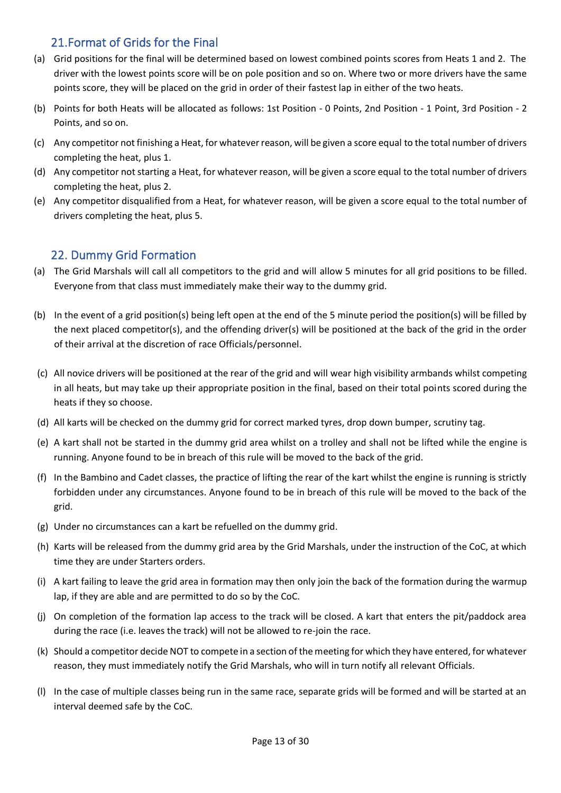## 21.Format of Grids for the Final

- <span id="page-12-0"></span>(a) Grid positions for the final will be determined based on lowest combined points scores from Heats 1 and 2. The driver with the lowest points score will be on pole position and so on. Where two or more drivers have the same points score, they will be placed on the grid in order of their fastest lap in either of the two heats.
- (b) Points for both Heats will be allocated as follows: 1st Position 0 Points, 2nd Position 1 Point, 3rd Position 2 Points, and so on.
- (c) Any competitor not finishing a Heat, for whatever reason, will be given a score equal to the total number of drivers completing the heat, plus 1.
- (d) Any competitor not starting a Heat, for whatever reason, will be given a score equal to the total number of drivers completing the heat, plus 2.
- (e) Any competitor disqualified from a Heat, for whatever reason, will be given a score equal to the total number of drivers completing the heat, plus 5.

## <span id="page-12-1"></span>22. Dummy Grid Formation

- (a) The Grid Marshals will call all competitors to the grid and will allow 5 minutes for all grid positions to be filled. Everyone from that class must immediately make their way to the dummy grid.
- (b) In the event of a grid position(s) being left open at the end of the 5 minute period the position(s) will be filled by the next placed competitor(s), and the offending driver(s) will be positioned at the back of the grid in the order of their arrival at the discretion of race Officials/personnel.
- (c) All novice drivers will be positioned at the rear of the grid and will wear high visibility armbands whilst competing in all heats, but may take up their appropriate position in the final, based on their total points scored during the heats if they so choose.
- (d) All karts will be checked on the dummy grid for correct marked tyres, drop down bumper, scrutiny tag.
- (e) A kart shall not be started in the dummy grid area whilst on a trolley and shall not be lifted while the engine is running. Anyone found to be in breach of this rule will be moved to the back of the grid.
- (f) In the Bambino and Cadet classes, the practice of lifting the rear of the kart whilst the engine is running is strictly forbidden under any circumstances. Anyone found to be in breach of this rule will be moved to the back of the grid.
- (g) Under no circumstances can a kart be refuelled on the dummy grid.
- (h) Karts will be released from the dummy grid area by the Grid Marshals, under the instruction of the CoC, at which time they are under Starters orders.
- (i) A kart failing to leave the grid area in formation may then only join the back of the formation during the warmup lap, if they are able and are permitted to do so by the CoC.
- (j) On completion of the formation lap access to the track will be closed. A kart that enters the pit/paddock area during the race (i.e. leaves the track) will not be allowed to re-join the race.
- (k) Should a competitor decide NOT to compete in a section of the meeting for which they have entered, for whatever reason, they must immediately notify the Grid Marshals, who will in turn notify all relevant Officials.
- (l) In the case of multiple classes being run in the same race, separate grids will be formed and will be started at an interval deemed safe by the CoC.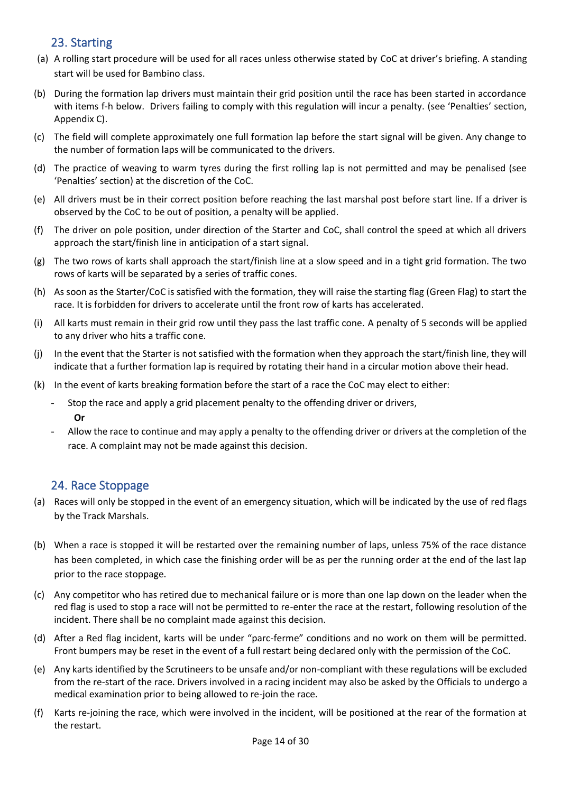## <span id="page-13-0"></span>23. Starting

- (a) A rolling start procedure will be used for all races unless otherwise stated by CoC at driver's briefing. A standing start will be used for Bambino class.
- (b) During the formation lap drivers must maintain their grid position until the race has been started in accordance with items f-h below. Drivers failing to comply with this regulation will incur a penalty. (see 'Penalties' section, Appendix C).
- (c) The field will complete approximately one full formation lap before the start signal will be given. Any change to the number of formation laps will be communicated to the drivers.
- (d) The practice of weaving to warm tyres during the first rolling lap is not permitted and may be penalised (see 'Penalties' section) at the discretion of the CoC.
- (e) All drivers must be in their correct position before reaching the last marshal post before start line. If a driver is observed by the CoC to be out of position, a penalty will be applied.
- (f) The driver on pole position, under direction of the Starter and CoC, shall control the speed at which all drivers approach the start/finish line in anticipation of a start signal.
- (g) The two rows of karts shall approach the start/finish line at a slow speed and in a tight grid formation. The two rows of karts will be separated by a series of traffic cones.
- (h) As soon as the Starter/CoC is satisfied with the formation, they will raise the starting flag (Green Flag) to start the race. It is forbidden for drivers to accelerate until the front row of karts has accelerated.
- (i) All karts must remain in their grid row until they pass the last traffic cone. A penalty of 5 seconds will be applied to any driver who hits a traffic cone.
- (j) In the event that the Starter is not satisfied with the formation when they approach the start/finish line, they will indicate that a further formation lap is required by rotating their hand in a circular motion above their head.
- (k) In the event of karts breaking formation before the start of a race the CoC may elect to either:
	- Stop the race and apply a grid placement penalty to the offending driver or drivers, **Or**
	- Allow the race to continue and may apply a penalty to the offending driver or drivers at the completion of the race. A complaint may not be made against this decision.

## <span id="page-13-1"></span>24. Race Stoppage

- (a) Races will only be stopped in the event of an emergency situation, which will be indicated by the use of red flags by the Track Marshals.
- (b) When a race is stopped it will be restarted over the remaining number of laps, unless 75% of the race distance has been completed, in which case the finishing order will be as per the running order at the end of the last lap prior to the race stoppage.
- (c) Any competitor who has retired due to mechanical failure or is more than one lap down on the leader when the red flag is used to stop a race will not be permitted to re-enter the race at the restart, following resolution of the incident. There shall be no complaint made against this decision.
- (d) After a Red flag incident, karts will be under "parc-ferme" conditions and no work on them will be permitted. Front bumpers may be reset in the event of a full restart being declared only with the permission of the CoC.
- (e) Any karts identified by the Scrutineers to be unsafe and/or non-compliant with these regulations will be excluded from the re-start of the race. Drivers involved in a racing incident may also be asked by the Officials to undergo a medical examination prior to being allowed to re-join the race.
- (f) Karts re-joining the race, which were involved in the incident, will be positioned at the rear of the formation at the restart.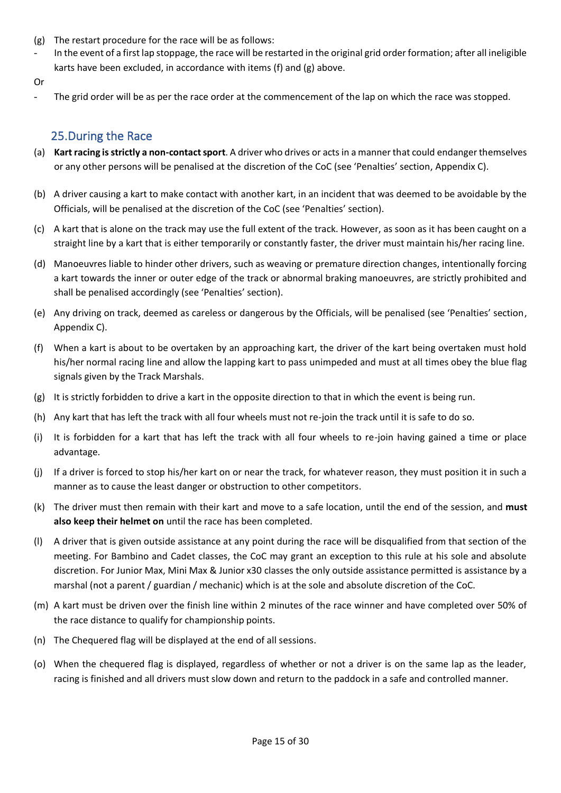- (g) The restart procedure for the race will be as follows:
- In the event of a first lap stoppage, the race will be restarted in the original grid order formation; after all ineligible karts have been excluded, in accordance with items (f) and (g) above.
- <span id="page-14-0"></span>Or
	- The grid order will be as per the race order at the commencement of the lap on which the race was stopped.

## 25.During the Race

- (a) **Kart racing is strictly a non-contact sport**. A driver who drives or acts in a manner that could endanger themselves or any other persons will be penalised at the discretion of the CoC (see 'Penalties' section, Appendix C).
- (b) A driver causing a kart to make contact with another kart, in an incident that was deemed to be avoidable by the Officials, will be penalised at the discretion of the CoC (see 'Penalties' section).
- (c) A kart that is alone on the track may use the full extent of the track. However, as soon as it has been caught on a straight line by a kart that is either temporarily or constantly faster, the driver must maintain his/her racing line.
- (d) Manoeuvres liable to hinder other drivers, such as weaving or premature direction changes, intentionally forcing a kart towards the inner or outer edge of the track or abnormal braking manoeuvres, are strictly prohibited and shall be penalised accordingly (see 'Penalties' section).
- (e) Any driving on track, deemed as careless or dangerous by the Officials, will be penalised (see 'Penalties' section, Appendix C).
- (f) When a kart is about to be overtaken by an approaching kart, the driver of the kart being overtaken must hold his/her normal racing line and allow the lapping kart to pass unimpeded and must at all times obey the blue flag signals given by the Track Marshals.
- (g) It is strictly forbidden to drive a kart in the opposite direction to that in which the event is being run.
- (h) Any kart that has left the track with all four wheels must not re-join the track until it is safe to do so.
- (i) It is forbidden for a kart that has left the track with all four wheels to re-join having gained a time or place advantage.
- (j) If a driver is forced to stop his/her kart on or near the track, for whatever reason, they must position it in such a manner as to cause the least danger or obstruction to other competitors.
- (k) The driver must then remain with their kart and move to a safe location, until the end of the session, and **must also keep their helmet on** until the race has been completed.
- (l) A driver that is given outside assistance at any point during the race will be disqualified from that section of the meeting. For Bambino and Cadet classes, the CoC may grant an exception to this rule at his sole and absolute discretion. For Junior Max, Mini Max & Junior x30 classes the only outside assistance permitted is assistance by a marshal (not a parent / guardian / mechanic) which is at the sole and absolute discretion of the CoC.
- (m) A kart must be driven over the finish line within 2 minutes of the race winner and have completed over 50% of the race distance to qualify for championship points.
- (n) The Chequered flag will be displayed at the end of all sessions.
- (o) When the chequered flag is displayed, regardless of whether or not a driver is on the same lap as the leader, racing is finished and all drivers must slow down and return to the paddock in a safe and controlled manner.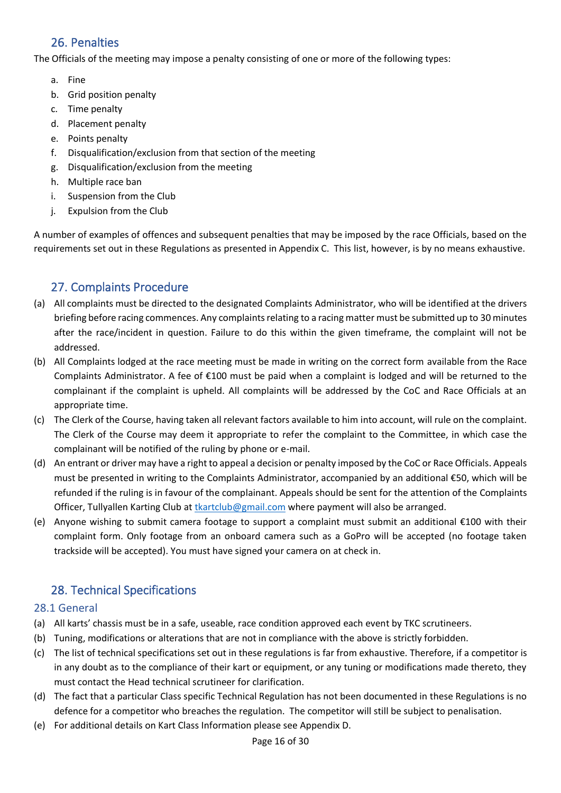## <span id="page-15-0"></span>26. Penalties

The Officials of the meeting may impose a penalty consisting of one or more of the following types:

- a. Fine
- b. Grid position penalty
- c. Time penalty
- d. Placement penalty
- e. Points penalty
- f. Disqualification/exclusion from that section of the meeting
- g. Disqualification/exclusion from the meeting
- h. Multiple race ban
- i. Suspension from the Club
- j. Expulsion from the Club

A number of examples of offences and subsequent penalties that may be imposed by the race Officials, based on the requirements set out in these Regulations as presented in Appendix C. This list, however, is by no means exhaustive.

## <span id="page-15-1"></span>27. Complaints Procedure

- (a) All complaints must be directed to the designated Complaints Administrator, who will be identified at the drivers briefing before racing commences. Any complaints relating to a racing matter must be submitted up to 30 minutes after the race/incident in question. Failure to do this within the given timeframe, the complaint will not be addressed.
- (b) All Complaints lodged at the race meeting must be made in writing on the correct form available from the Race Complaints Administrator. A fee of €100 must be paid when a complaint is lodged and will be returned to the complainant if the complaint is upheld. All complaints will be addressed by the CoC and Race Officials at an appropriate time.
- (c) The Clerk of the Course, having taken all relevant factors available to him into account, will rule on the complaint. The Clerk of the Course may deem it appropriate to refer the complaint to the Committee, in which case the complainant will be notified of the ruling by phone or e-mail.
- (d) An entrant or driver may have a right to appeal a decision or penalty imposed by the CoC or Race Officials. Appeals must be presented in writing to the Complaints Administrator, accompanied by an additional €50, which will be refunded if the ruling is in favour of the complainant. Appeals should be sent for the attention of the Complaints Officer, Tullyallen Karting Club a[t tkartclub@gmail.com](mailto:tkartclub@gmail.com) where payment will also be arranged.
- (e) Anyone wishing to submit camera footage to support a complaint must submit an additional €100 with their complaint form. Only footage from an onboard camera such as a GoPro will be accepted (no footage taken trackside will be accepted). You must have signed your camera on at check in.

## <span id="page-15-2"></span>28. Technical Specifications

### <span id="page-15-3"></span>28.1 General

- (a) All karts' chassis must be in a safe, useable, race condition approved each event by TKC scrutineers.
- (b) Tuning, modifications or alterations that are not in compliance with the above is strictly forbidden.
- (c) The list of technical specifications set out in these regulations is far from exhaustive. Therefore, if a competitor is in any doubt as to the compliance of their kart or equipment, or any tuning or modifications made thereto, they must contact the Head technical scrutineer for clarification.
- (d) The fact that a particular Class specific Technical Regulation has not been documented in these Regulations is no defence for a competitor who breaches the regulation. The competitor will still be subject to penalisation.
- (e) For additional details on Kart Class Information please see Appendix D.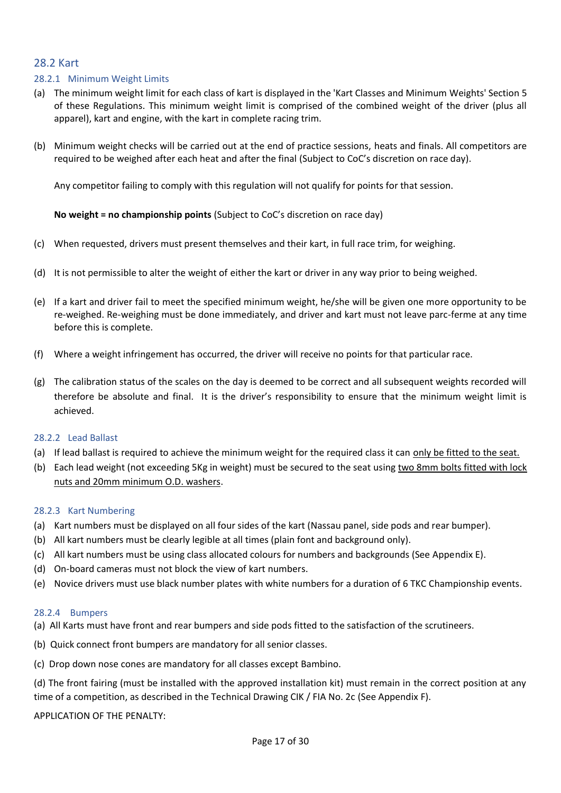#### <span id="page-16-0"></span>28.2 Kart

#### 28.2.1 Minimum Weight Limits

- (a) The minimum weight limit for each class of kart is displayed in the 'Kart Classes and Minimum Weights' Section 5 of these Regulations. This minimum weight limit is comprised of the combined weight of the driver (plus all apparel), kart and engine, with the kart in complete racing trim.
- (b) Minimum weight checks will be carried out at the end of practice sessions, heats and finals. All competitors are required to be weighed after each heat and after the final (Subject to CoC's discretion on race day).

Any competitor failing to comply with this regulation will not qualify for points for that session.

**No weight = no championship points** (Subject to CoC's discretion on race day)

- (c) When requested, drivers must present themselves and their kart, in full race trim, for weighing.
- (d) It is not permissible to alter the weight of either the kart or driver in any way prior to being weighed.
- (e) If a kart and driver fail to meet the specified minimum weight, he/she will be given one more opportunity to be re-weighed. Re-weighing must be done immediately, and driver and kart must not leave parc-ferme at any time before this is complete.
- (f) Where a weight infringement has occurred, the driver will receive no points for that particular race.
- (g) The calibration status of the scales on the day is deemed to be correct and all subsequent weights recorded will therefore be absolute and final. It is the driver's responsibility to ensure that the minimum weight limit is achieved.

#### 28.2.2 Lead Ballast

- (a) If lead ballast is required to achieve the minimum weight for the required class it can only be fitted to the seat.
- (b) Each lead weight (not exceeding 5Kg in weight) must be secured to the seat using two 8mm bolts fitted with lock nuts and 20mm minimum O.D. washers.

#### 28.2.3 Kart Numbering

- (a) Kart numbers must be displayed on all four sides of the kart (Nassau panel, side pods and rear bumper).
- (b) All kart numbers must be clearly legible at all times (plain font and background only).
- (c) All kart numbers must be using class allocated colours for numbers and backgrounds (See Appendix E).
- (d) On-board cameras must not block the view of kart numbers.
- (e) Novice drivers must use black number plates with white numbers for a duration of 6 TKC Championship events.

#### 28.2.4 Bumpers

- (a) All Karts must have front and rear bumpers and side pods fitted to the satisfaction of the scrutineers.
- (b) Quick connect front bumpers are mandatory for all senior classes.
- (c) Drop down nose cones are mandatory for all classes except Bambino.

(d) The front fairing (must be installed with the approved installation kit) must remain in the correct position at any time of a competition, as described in the Technical Drawing CIK / FIA No. 2c (See Appendix F).

APPLICATION OF THE PENALTY: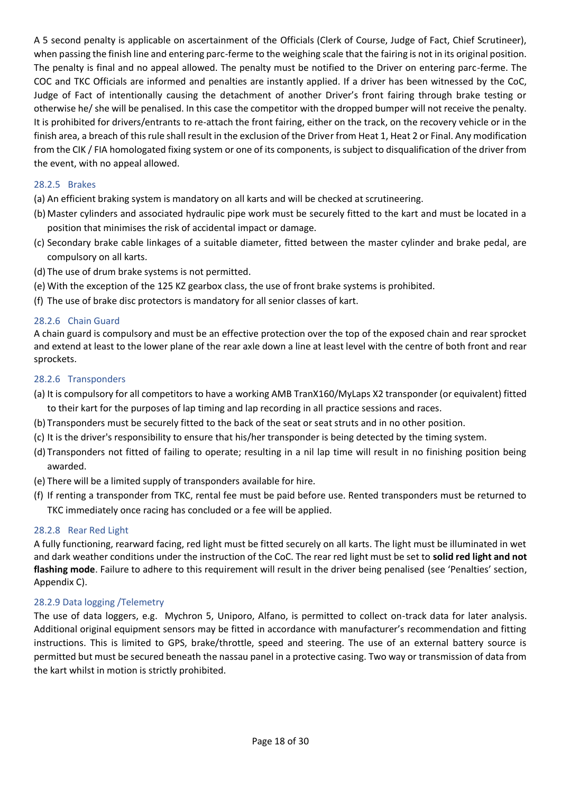A 5 second penalty is applicable on ascertainment of the Officials (Clerk of Course, Judge of Fact, Chief Scrutineer), when passing the finish line and entering parc-ferme to the weighing scale that the fairing is not in its original position. The penalty is final and no appeal allowed. The penalty must be notified to the Driver on entering parc-ferme. The COC and TKC Officials are informed and penalties are instantly applied. If a driver has been witnessed by the CoC, Judge of Fact of intentionally causing the detachment of another Driver's front fairing through brake testing or otherwise he/ she will be penalised. In this case the competitor with the dropped bumper will not receive the penalty. It is prohibited for drivers/entrants to re-attach the front fairing, either on the track, on the recovery vehicle or in the finish area, a breach of this rule shall result in the exclusion of the Driver from Heat 1, Heat 2 or Final. Any modification from the CIK / FIA homologated fixing system or one of its components, is subject to disqualification of the driver from the event, with no appeal allowed.

#### 28.2.5 Brakes

- (a) An efficient braking system is mandatory on all karts and will be checked at scrutineering.
- (b) Master cylinders and associated hydraulic pipe work must be securely fitted to the kart and must be located in a position that minimises the risk of accidental impact or damage.
- (c) Secondary brake cable linkages of a suitable diameter, fitted between the master cylinder and brake pedal, are compulsory on all karts.
- (d) The use of drum brake systems is not permitted.
- (e) With the exception of the 125 KZ gearbox class, the use of front brake systems is prohibited.
- (f) The use of brake disc protectors is mandatory for all senior classes of kart.

#### 28.2.6 Chain Guard

A chain guard is compulsory and must be an effective protection over the top of the exposed chain and rear sprocket and extend at least to the lower plane of the rear axle down a line at least level with the centre of both front and rear sprockets.

#### 28.2.6 Transponders

- (a) It is compulsory for all competitors to have a working AMB TranX160/MyLaps X2 transponder (or equivalent) fitted to their kart for the purposes of lap timing and lap recording in all practice sessions and races.
- (b) Transponders must be securely fitted to the back of the seat or seat struts and in no other position.
- (c) It is the driver's responsibility to ensure that his/her transponder is being detected by the timing system.
- (d) Transponders not fitted of failing to operate; resulting in a nil lap time will result in no finishing position being awarded.
- (e) There will be a limited supply of transponders available for hire.
- (f) If renting a transponder from TKC, rental fee must be paid before use. Rented transponders must be returned to TKC immediately once racing has concluded or a fee will be applied.

#### 28.2.8 Rear Red Light

A fully functioning, rearward facing, red light must be fitted securely on all karts. The light must be illuminated in wet and dark weather conditions under the instruction of the CoC. The rear red light must be set to **solid red light and not flashing mode**. Failure to adhere to this requirement will result in the driver being penalised (see 'Penalties' section, Appendix C).

#### 28.2.9 Data logging /Telemetry

The use of data loggers, e.g. Mychron 5, Uniporo, Alfano, is permitted to collect on-track data for later analysis. Additional original equipment sensors may be fitted in accordance with manufacturer's recommendation and fitting instructions. This is limited to GPS, brake/throttle, speed and steering. The use of an external battery source is permitted but must be secured beneath the nassau panel in a protective casing. Two way or transmission of data from the kart whilst in motion is strictly prohibited.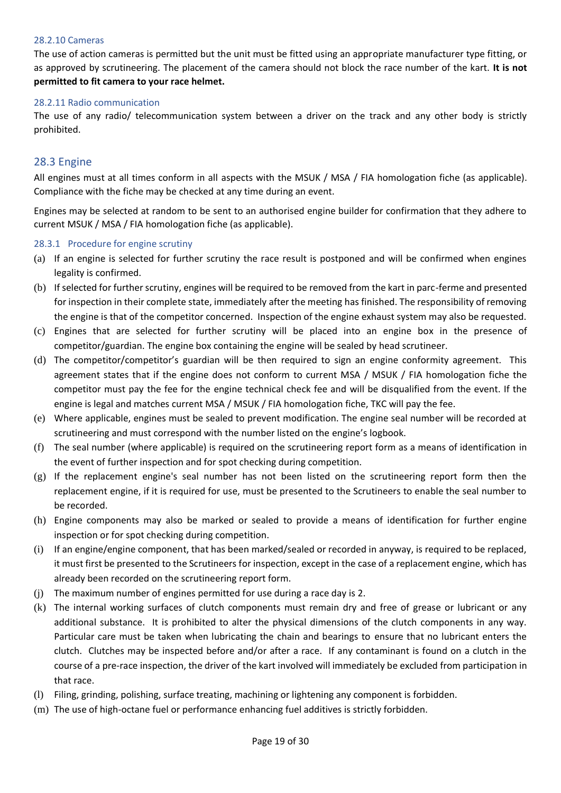#### 28.2.10 Cameras

The use of action cameras is permitted but the unit must be fitted using an appropriate manufacturer type fitting, or as approved by scrutineering. The placement of the camera should not block the race number of the kart. **It is not permitted to fit camera to your race helmet.**

#### 28.2.11 Radio communication

The use of any radio/ telecommunication system between a driver on the track and any other body is strictly prohibited.

### <span id="page-18-0"></span>28.3 Engine

All engines must at all times conform in all aspects with the MSUK / MSA / FIA homologation fiche (as applicable). Compliance with the fiche may be checked at any time during an event.

Engines may be selected at random to be sent to an authorised engine builder for confirmation that they adhere to current MSUK / MSA / FIA homologation fiche (as applicable).

#### 28.3.1 Procedure for engine scrutiny

- (a) If an engine is selected for further scrutiny the race result is postponed and will be confirmed when engines legality is confirmed.
- (b) If selected for further scrutiny, engines will be required to be removed from the kart in parc-ferme and presented for inspection in their complete state, immediately after the meeting has finished. The responsibility of removing the engine is that of the competitor concerned. Inspection of the engine exhaust system may also be requested.
- (c) Engines that are selected for further scrutiny will be placed into an engine box in the presence of competitor/guardian. The engine box containing the engine will be sealed by head scrutineer.
- (d) The competitor/competitor's guardian will be then required to sign an engine conformity agreement. This agreement states that if the engine does not conform to current MSA / MSUK / FIA homologation fiche the competitor must pay the fee for the engine technical check fee and will be disqualified from the event. If the engine is legal and matches current MSA / MSUK / FIA homologation fiche, TKC will pay the fee.
- (e) Where applicable, engines must be sealed to prevent modification. The engine seal number will be recorded at scrutineering and must correspond with the number listed on the engine's logbook.
- (f) The seal number (where applicable) is required on the scrutineering report form as a means of identification in the event of further inspection and for spot checking during competition.
- (g) If the replacement engine's seal number has not been listed on the scrutineering report form then the replacement engine, if it is required for use, must be presented to the Scrutineers to enable the seal number to be recorded.
- (h) Engine components may also be marked or sealed to provide a means of identification for further engine inspection or for spot checking during competition.
- (i) If an engine/engine component, that has been marked/sealed or recorded in anyway, is required to be replaced, it must first be presented to the Scrutineers for inspection, except in the case of a replacement engine, which has already been recorded on the scrutineering report form.
- (j) The maximum number of engines permitted for use during a race day is 2.
- (k) The internal working surfaces of clutch components must remain dry and free of grease or lubricant or any additional substance. It is prohibited to alter the physical dimensions of the clutch components in any way. Particular care must be taken when lubricating the chain and bearings to ensure that no lubricant enters the clutch. Clutches may be inspected before and/or after a race. If any contaminant is found on a clutch in the course of a pre-race inspection, the driver of the kart involved will immediately be excluded from participation in that race.
- (l) Filing, grinding, polishing, surface treating, machining or lightening any component is forbidden.
- (m) The use of high-octane fuel or performance enhancing fuel additives is strictly forbidden.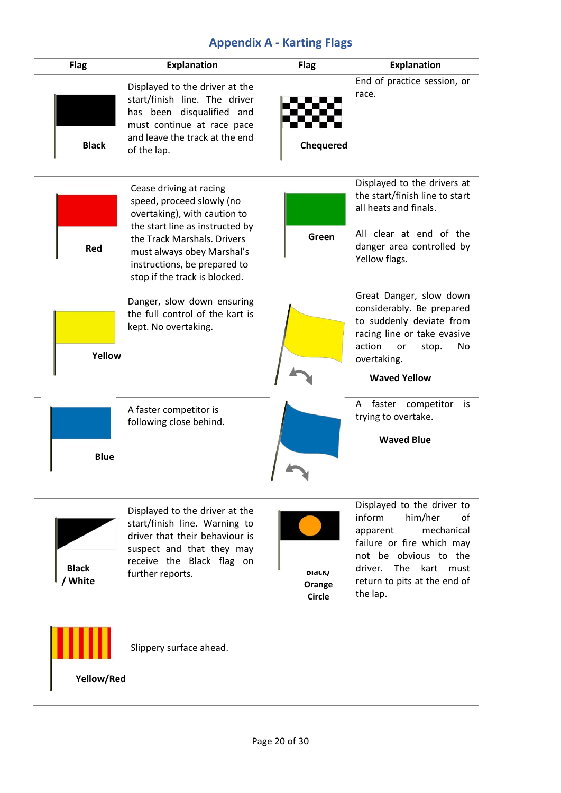# **Appendix A - Karting Flags**

<span id="page-19-0"></span>

| <b>Flag</b>             | <b>Explanation</b>                                                                                                                                                                                                                                    | <b>Flag</b>                                    | <b>Explanation</b>                                                                                                                                                                                               |
|-------------------------|-------------------------------------------------------------------------------------------------------------------------------------------------------------------------------------------------------------------------------------------------------|------------------------------------------------|------------------------------------------------------------------------------------------------------------------------------------------------------------------------------------------------------------------|
| <b>Black</b>            | Displayed to the driver at the<br>start/finish line. The driver<br>has been disqualified and<br>must continue at race pace<br>and leave the track at the end<br>of the lap.                                                                           | Chequered                                      | End of practice session, or<br>race.                                                                                                                                                                             |
| Red                     | Cease driving at racing<br>speed, proceed slowly (no<br>overtaking), with caution to<br>the start line as instructed by<br>the Track Marshals. Drivers<br>must always obey Marshal's<br>instructions, be prepared to<br>stop if the track is blocked. | Green                                          | Displayed to the drivers at<br>the start/finish line to start<br>all heats and finals.<br>All clear at end of the<br>danger area controlled by<br>Yellow flags.                                                  |
| Yellow                  | Danger, slow down ensuring<br>the full control of the kart is<br>kept. No overtaking.                                                                                                                                                                 |                                                | Great Danger, slow down<br>considerably. Be prepared<br>to suddenly deviate from<br>racing line or take evasive<br>action<br>No<br>or<br>stop.<br>overtaking.<br><b>Waved Yellow</b>                             |
| <b>Blue</b>             | A faster competitor is<br>following close behind.                                                                                                                                                                                                     |                                                | faster competitor<br>A<br>is<br>trying to overtake.<br><b>Waved Blue</b>                                                                                                                                         |
| <b>Black</b><br>/ White | Displayed to the driver at the<br>start/finish line. Warning to<br>driver that their behaviour is<br>suspect and that they may<br>receive the Black flag on<br>further reports.                                                                       | DI <sub>d</sub> CK/<br>Orange<br><b>Circle</b> | Displayed to the driver to<br>inform<br>him/her<br>0f<br>mechanical<br>apparent<br>failure or fire which may<br>not be obvious to the<br>driver.<br>The kart<br>must<br>return to pits at the end of<br>the lap. |
| Yellow/Red              | Slippery surface ahead.                                                                                                                                                                                                                               |                                                |                                                                                                                                                                                                                  |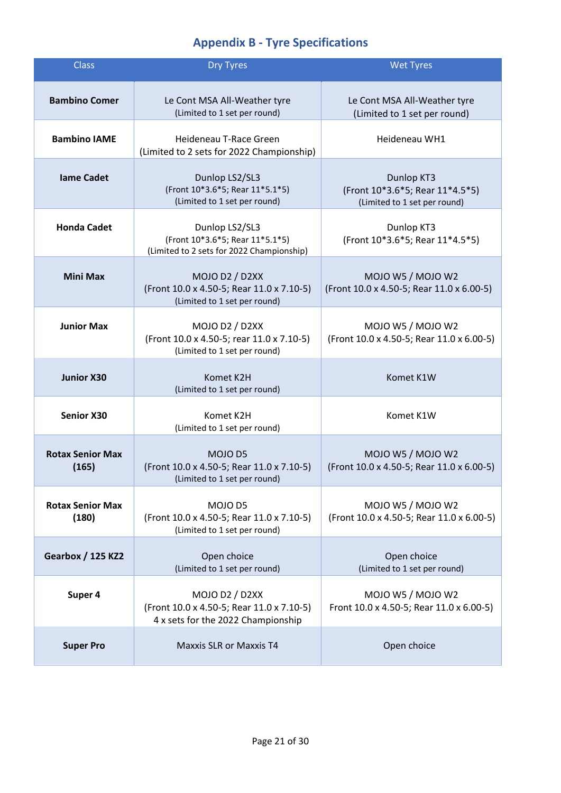# **Appendix B - Tyre Specifications**

<span id="page-20-0"></span>

| <b>Class</b>                     | <b>Dry Tyres</b>                                                                                         | <b>Wet Tyres</b>                                                              |
|----------------------------------|----------------------------------------------------------------------------------------------------------|-------------------------------------------------------------------------------|
| <b>Bambino Comer</b>             | Le Cont MSA All-Weather tyre<br>(Limited to 1 set per round)                                             | Le Cont MSA All-Weather tyre<br>(Limited to 1 set per round)                  |
| <b>Bambino IAME</b>              | Heideneau T-Race Green<br>(Limited to 2 sets for 2022 Championship)                                      | Heideneau WH1                                                                 |
| <b>lame Cadet</b>                | Dunlop LS2/SL3<br>(Front 10*3.6*5; Rear 11*5.1*5)<br>(Limited to 1 set per round)                        | Dunlop KT3<br>(Front 10*3.6*5; Rear 11*4.5*5)<br>(Limited to 1 set per round) |
| <b>Honda Cadet</b>               | Dunlop LS2/SL3<br>(Front 10*3.6*5; Rear 11*5.1*5)<br>(Limited to 2 sets for 2022 Championship)           | Dunlop KT3<br>(Front 10*3.6*5; Rear 11*4.5*5)                                 |
| <b>Mini Max</b>                  | <b>MOJO D2 / D2XX</b><br>(Front 10.0 x 4.50-5; Rear 11.0 x 7.10-5)<br>(Limited to 1 set per round)       | MOJO W5 / MOJO W2<br>(Front 10.0 x 4.50-5; Rear 11.0 x 6.00-5)                |
| <b>Junior Max</b>                | MOJO D2 / D2XX<br>(Front 10.0 x 4.50-5; rear 11.0 x 7.10-5)<br>(Limited to 1 set per round)              | MOJO W5 / MOJO W2<br>(Front 10.0 x 4.50-5; Rear 11.0 x 6.00-5)                |
| <b>Junior X30</b>                | Komet K2H<br>(Limited to 1 set per round)                                                                | Komet K1W                                                                     |
| <b>Senior X30</b>                | Komet K2H<br>(Limited to 1 set per round)                                                                | Komet K1W                                                                     |
| <b>Rotax Senior Max</b><br>(165) | MOJO D5<br>(Front 10.0 x 4.50-5; Rear 11.0 x 7.10-5)<br>(Limited to 1 set per round)                     | MOJO W5 / MOJO W2<br>(Front 10.0 x 4.50-5; Rear 11.0 x 6.00-5)                |
| <b>Rotax Senior Max</b><br>(180) | MOJO D5<br>(Front 10.0 x 4.50-5; Rear 11.0 x 7.10-5)<br>(Limited to 1 set per round)                     | MOJO W5 / MOJO W2<br>(Front 10.0 x 4.50-5; Rear 11.0 x 6.00-5)                |
| <b>Gearbox / 125 KZ2</b>         | Open choice<br>(Limited to 1 set per round)                                                              | Open choice<br>(Limited to 1 set per round)                                   |
| Super 4                          | <b>MOJO D2 / D2XX</b><br>(Front 10.0 x 4.50-5; Rear 11.0 x 7.10-5)<br>4 x sets for the 2022 Championship | MOJO W5 / MOJO W2<br>Front 10.0 x 4.50-5; Rear 11.0 x 6.00-5)                 |
| <b>Super Pro</b>                 | <b>Maxxis SLR or Maxxis T4</b>                                                                           | Open choice                                                                   |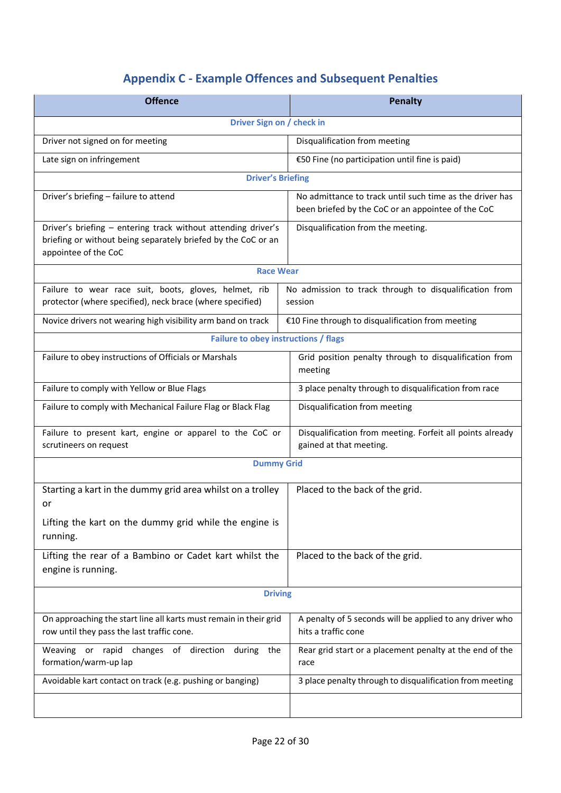# **Appendix C - Example Offences and Subsequent Penalties**

<span id="page-21-0"></span>

| <b>Offence</b>                                                                                                                                         | <b>Penalty</b>                                                                                                 |  |
|--------------------------------------------------------------------------------------------------------------------------------------------------------|----------------------------------------------------------------------------------------------------------------|--|
| Driver Sign on / check in                                                                                                                              |                                                                                                                |  |
| Driver not signed on for meeting                                                                                                                       | Disqualification from meeting                                                                                  |  |
| Late sign on infringement                                                                                                                              | €50 Fine (no participation until fine is paid)                                                                 |  |
| <b>Driver's Briefing</b>                                                                                                                               |                                                                                                                |  |
| Driver's briefing - failure to attend                                                                                                                  | No admittance to track until such time as the driver has<br>been briefed by the CoC or an appointee of the CoC |  |
| Driver's briefing - entering track without attending driver's<br>briefing or without being separately briefed by the CoC or an<br>appointee of the CoC | Disqualification from the meeting.                                                                             |  |
| <b>Race Wear</b>                                                                                                                                       |                                                                                                                |  |
| Failure to wear race suit, boots, gloves, helmet, rib<br>protector (where specified), neck brace (where specified)                                     | No admission to track through to disqualification from<br>session                                              |  |
| Novice drivers not wearing high visibility arm band on track                                                                                           | €10 Fine through to disqualification from meeting                                                              |  |
| <b>Failure to obey instructions / flags</b>                                                                                                            |                                                                                                                |  |
| Failure to obey instructions of Officials or Marshals                                                                                                  | Grid position penalty through to disqualification from<br>meeting                                              |  |
| Failure to comply with Yellow or Blue Flags                                                                                                            | 3 place penalty through to disqualification from race                                                          |  |
| Failure to comply with Mechanical Failure Flag or Black Flag                                                                                           | Disqualification from meeting                                                                                  |  |
| Failure to present kart, engine or apparel to the CoC or<br>scrutineers on request                                                                     | Disqualification from meeting. Forfeit all points already<br>gained at that meeting.                           |  |
| <b>Dummy Grid</b>                                                                                                                                      |                                                                                                                |  |
| Starting a kart in the dummy grid area whilst on a trolley<br>or                                                                                       | Placed to the back of the grid.                                                                                |  |
| Lifting the kart on the dummy grid while the engine is<br>running.                                                                                     |                                                                                                                |  |
| Lifting the rear of a Bambino or Cadet kart whilst the<br>engine is running.                                                                           | Placed to the back of the grid.                                                                                |  |
| <b>Driving</b>                                                                                                                                         |                                                                                                                |  |
| On approaching the start line all karts must remain in their grid<br>row until they pass the last traffic cone.                                        | A penalty of 5 seconds will be applied to any driver who<br>hits a traffic cone                                |  |
| Weaving or rapid<br>changes of direction<br>during<br>the<br>formation/warm-up lap                                                                     | Rear grid start or a placement penalty at the end of the<br>race                                               |  |
| Avoidable kart contact on track (e.g. pushing or banging)                                                                                              | 3 place penalty through to disqualification from meeting                                                       |  |
|                                                                                                                                                        |                                                                                                                |  |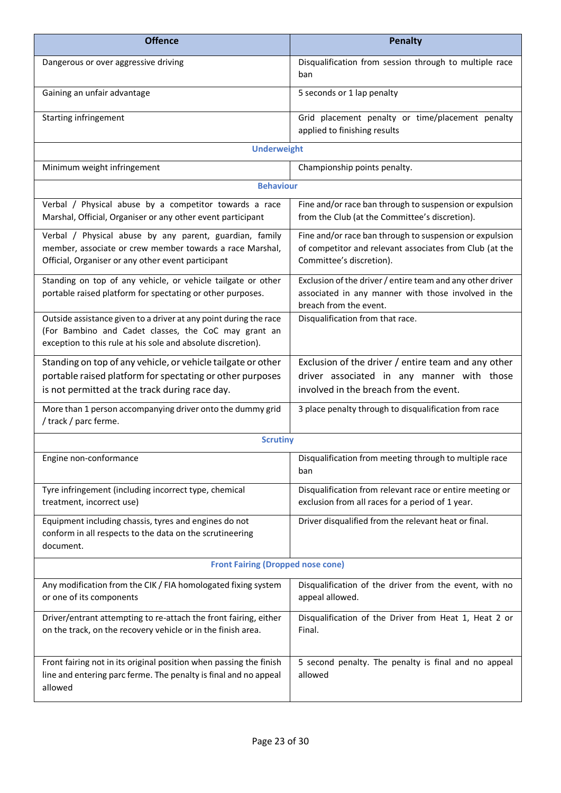| <b>Offence</b>                                                                                                                                                                            | <b>Penalty</b>                                                                                                                                 |  |
|-------------------------------------------------------------------------------------------------------------------------------------------------------------------------------------------|------------------------------------------------------------------------------------------------------------------------------------------------|--|
| Dangerous or over aggressive driving                                                                                                                                                      | Disqualification from session through to multiple race<br>ban                                                                                  |  |
| Gaining an unfair advantage                                                                                                                                                               | 5 seconds or 1 lap penalty                                                                                                                     |  |
| Starting infringement                                                                                                                                                                     | Grid placement penalty or time/placement penalty<br>applied to finishing results                                                               |  |
| <b>Underweight</b>                                                                                                                                                                        |                                                                                                                                                |  |
| Minimum weight infringement                                                                                                                                                               | Championship points penalty.                                                                                                                   |  |
| <b>Behaviour</b>                                                                                                                                                                          |                                                                                                                                                |  |
| Verbal / Physical abuse by a competitor towards a race<br>Marshal, Official, Organiser or any other event participant                                                                     | Fine and/or race ban through to suspension or expulsion<br>from the Club (at the Committee's discretion).                                      |  |
| Verbal / Physical abuse by any parent, guardian, family<br>member, associate or crew member towards a race Marshal,<br>Official, Organiser or any other event participant                 | Fine and/or race ban through to suspension or expulsion<br>of competitor and relevant associates from Club (at the<br>Committee's discretion). |  |
| Standing on top of any vehicle, or vehicle tailgate or other<br>portable raised platform for spectating or other purposes.                                                                | Exclusion of the driver / entire team and any other driver<br>associated in any manner with those involved in the<br>breach from the event.    |  |
| Outside assistance given to a driver at any point during the race<br>(For Bambino and Cadet classes, the CoC may grant an<br>exception to this rule at his sole and absolute discretion). | Disqualification from that race.                                                                                                               |  |
| Standing on top of any vehicle, or vehicle tailgate or other<br>portable raised platform for spectating or other purposes<br>is not permitted at the track during race day.               | Exclusion of the driver / entire team and any other<br>driver associated in any manner with those<br>involved in the breach from the event.    |  |
| More than 1 person accompanying driver onto the dummy grid<br>/ track / parc ferme.                                                                                                       | 3 place penalty through to disqualification from race                                                                                          |  |
| <b>Scrutiny</b>                                                                                                                                                                           |                                                                                                                                                |  |
| Engine non-conformance                                                                                                                                                                    | Disqualification from meeting through to multiple race<br>ban                                                                                  |  |
| Tyre infringement (including incorrect type, chemical<br>treatment, incorrect use)                                                                                                        | Disqualification from relevant race or entire meeting or<br>exclusion from all races for a period of 1 year.                                   |  |
| Equipment including chassis, tyres and engines do not<br>conform in all respects to the data on the scrutineering<br>document.                                                            | Driver disqualified from the relevant heat or final.                                                                                           |  |
| <b>Front Fairing (Dropped nose cone)</b>                                                                                                                                                  |                                                                                                                                                |  |
| Any modification from the CIK / FIA homologated fixing system<br>or one of its components                                                                                                 | Disqualification of the driver from the event, with no<br>appeal allowed.                                                                      |  |
| Driver/entrant attempting to re-attach the front fairing, either<br>on the track, on the recovery vehicle or in the finish area.                                                          | Disqualification of the Driver from Heat 1, Heat 2 or<br>Final.                                                                                |  |
| Front fairing not in its original position when passing the finish<br>line and entering parc ferme. The penalty is final and no appeal<br>allowed                                         | 5 second penalty. The penalty is final and no appeal<br>allowed                                                                                |  |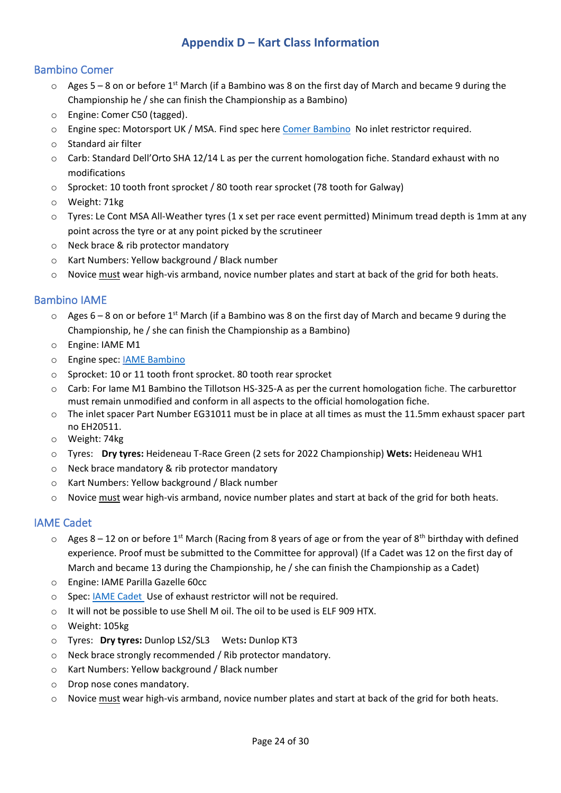## **Appendix D – Kart Class Information**

## <span id="page-23-1"></span><span id="page-23-0"></span>Bambino Comer

- $\circ$  Ages 5 8 on or before 1<sup>st</sup> March (if a Bambino was 8 on the first day of March and became 9 during the Championship he / she can finish the Championship as a Bambino)
- o Engine: Comer C50 (tagged).
- o Engine spec: Motorsport UK / MSA. Find spec here [Comer Bambino](https://drive.google.com/file/d/1HWJ09At8gUycsYYkwWdM-5mKn0zG3Djx/view?usp=sharing) No inlet restrictor required.
- o Standard air filter
- o Carb: Standard Dell'Orto SHA 12/14 L as per the current homologation fiche. Standard exhaust with no modifications
- o Sprocket: 10 tooth front sprocket / 80 tooth rear sprocket (78 tooth for Galway)
- o Weight: 71kg
- o Tyres: Le Cont MSA All-Weather tyres (1 x set per race event permitted) Minimum tread depth is 1mm at any point across the tyre or at any point picked by the scrutineer
- o Neck brace & rib protector mandatory
- o Kart Numbers: Yellow background / Black number
- $\circ$  Novice must wear high-vis armband, novice number plates and start at back of the grid for both heats.

### <span id="page-23-2"></span>Bambino IAME

- $\circ$  Ages 6 8 on or before 1<sup>st</sup> March (if a Bambino was 8 on the first day of March and became 9 during the Championship, he / she can finish the Championship as a Bambino)
- o Engine: IAME M1
- o Engine spec: [IAME Bambino](https://drive.google.com/file/d/1LMMPe2bm-bcXeqdDDfgY2fIO78ik66N8/view?usp=sharing)
- o Sprocket: 10 or 11 tooth front sprocket. 80 tooth rear sprocket
- o Carb: For Iame M1 Bambino the Tillotson HS-325-A as per the current homologation fiche. The carburettor must remain unmodified and conform in all aspects to the official homologation fiche.
- o The inlet spacer Part Number EG31011 must be in place at all times as must the 11.5mm exhaust spacer part no EH20511.
- o Weight: 74kg
- o Tyres: **Dry tyres:** Heideneau T-Race Green (2 sets for 2022 Championship) **Wets:** Heideneau WH1
- o Neck brace mandatory & rib protector mandatory
- o Kart Numbers: Yellow background / Black number
- $\circ$  Novice must wear high-vis armband, novice number plates and start at back of the grid for both heats.

### <span id="page-23-3"></span>IAME Cadet

- $\circ$  Ages 8 12 on or before 1<sup>st</sup> March (Racing from 8 years of age or from the year of 8<sup>th</sup> birthday with defined experience. Proof must be submitted to the Committee for approval) (If a Cadet was 12 on the first day of March and became 13 during the Championship, he / she can finish the Championship as a Cadet)
- o Engine: IAME Parilla Gazelle 60cc
- o Spec: **IAME Cadet** Use of exhaust restrictor will not be required.
- o It will not be possible to use Shell M oil. The oil to be used is ELF 909 HTX.
- o Weight: 105kg
- o Tyres: **Dry tyres:** Dunlop LS2/SL3 Wets**:** Dunlop KT3
- o Neck brace strongly recommended / Rib protector mandatory.
- o Kart Numbers: Yellow background / Black number
- o Drop nose cones mandatory.
- o Novice must wear high-vis armband, novice number plates and start at back of the grid for both heats.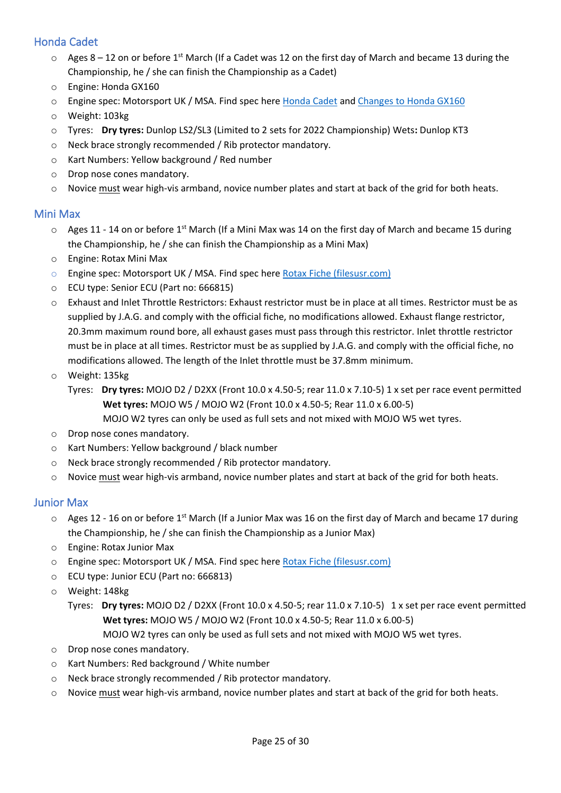## <span id="page-24-0"></span>Honda Cadet

- $\circ$  Ages 8 12 on or before 1<sup>st</sup> March (If a Cadet was 12 on the first day of March and became 13 during the Championship, he / she can finish the Championship as a Cadet)
- o Engine: Honda GX160
- o Engine spec: Motorsport UK / MSA. Find spec here [Honda Cadet](https://drive.google.com/file/d/19U0EygmgcRI6FUcrpKu9Z0GGA5IsLQEO/view?usp=sharing) and [Changes to Honda GX160](https://drive.google.com/file/d/11lF1aAmJ6AFc7KZdJkZ9nRqic_bRyz_n/view?usp=sharing)
- o Weight: 103kg
- o Tyres: **Dry tyres:** Dunlop LS2/SL3 (Limited to 2 sets for 2022 Championship) Wets**:** Dunlop KT3
- o Neck brace strongly recommended / Rib protector mandatory.
- o Kart Numbers: Yellow background / Red number
- o Drop nose cones mandatory.
- o Novice must wear high-vis armband, novice number plates and start at back of the grid for both heats.

### <span id="page-24-1"></span>Mini Max

- $\circ$  Ages 11 14 on or before 1<sup>st</sup> March (If a Mini Max was 14 on the first day of March and became 15 during the Championship, he / she can finish the Championship as a Mini Max)
- o Engine: Rotax Mini Max
- o Engine spec: Motorsport UK / MSA. Find spec here [Rotax Fiche \(filesusr.com\)](https://789ffa5e-6564-46e7-8783-f9cb90a4dceb.filesusr.com/ugd/a24324_cd19c198602346a5ac7963142e491491.pdf?index=true)
- o ECU type: Senior ECU (Part no: 666815)
- o Exhaust and Inlet Throttle Restrictors: Exhaust restrictor must be in place at all times. Restrictor must be as supplied by J.A.G. and comply with the official fiche, no modifications allowed. Exhaust flange restrictor, 20.3mm maximum round bore, all exhaust gases must pass through this restrictor. Inlet throttle restrictor must be in place at all times. Restrictor must be as supplied by J.A.G. and comply with the official fiche, no modifications allowed. The length of the Inlet throttle must be 37.8mm minimum.
- o Weight: 135kg
	- Tyres: **Dry tyres:** MOJO D2 / D2XX (Front 10.0 x 4.50-5; rear 11.0 x 7.10-5) 1 x set per race event permitted **Wet tyres:** MOJO W5 / MOJO W2 (Front 10.0 x 4.50-5; Rear 11.0 x 6.00-5)
		- MOJO W2 tyres can only be used as full sets and not mixed with MOJO W5 wet tyres.
- o Drop nose cones mandatory.
- o Kart Numbers: Yellow background / black number
- o Neck brace strongly recommended / Rib protector mandatory.
- o Novice must wear high-vis armband, novice number plates and start at back of the grid for both heats.

### <span id="page-24-2"></span>Junior Max

- o Ages 12 16 on or before 1st March (If a Junior Max was 16 on the first day of March and became 17 during the Championship, he / she can finish the Championship as a Junior Max)
- o Engine: Rotax Junior Max
- o Engine spec: Motorsport UK / MSA. Find spec here [Rotax Fiche \(filesusr.com\)](https://789ffa5e-6564-46e7-8783-f9cb90a4dceb.filesusr.com/ugd/a24324_cd19c198602346a5ac7963142e491491.pdf?index=true)
- o ECU type: Junior ECU (Part no: 666813)
- o Weight: 148kg
	- Tyres: **Dry tyres:** MOJO D2 / D2XX (Front 10.0 x 4.50-5; rear 11.0 x 7.10-5) 1 x set per race event permitted  **Wet tyres:** MOJO W5 / MOJO W2 (Front 10.0 x 4.50-5; Rear 11.0 x 6.00-5)
		- MOJO W2 tyres can only be used as full sets and not mixed with MOJO W5 wet tyres.
- o Drop nose cones mandatory.
- o Kart Numbers: Red background / White number
- o Neck brace strongly recommended / Rib protector mandatory.
- o Novice must wear high-vis armband, novice number plates and start at back of the grid for both heats.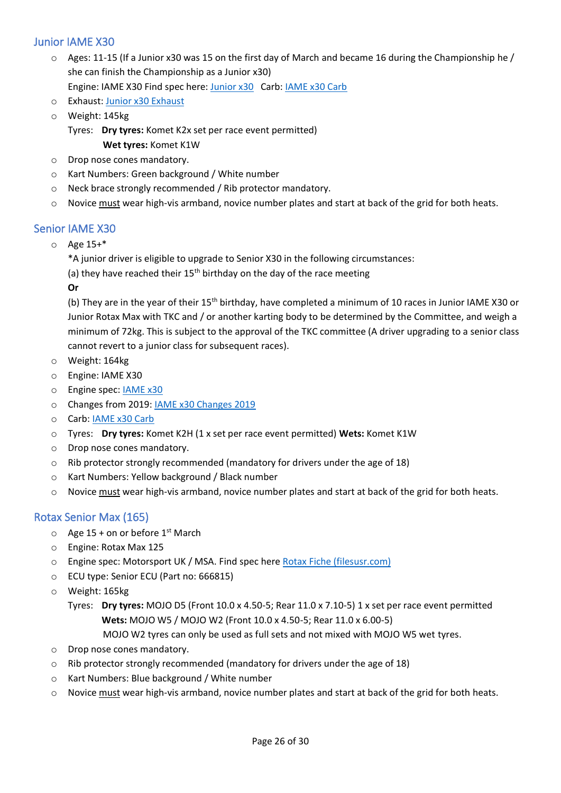## <span id="page-25-0"></span>Junior IAME X30

- $\circ$  Ages: 11-15 (If a Junior x30 was 15 on the first day of March and became 16 during the Championship he / she can finish the Championship as a Junior x30) Engine: IAME X30 Find spec here: [Junior x30](https://www.iameseriesitaly.com/wp-content/uploads/2021/02/254V_IAME-X30-125cc-LIMIT.-16000-giri-MOTORE-2021.pdf) Carb: [IAME x30 Carb](https://drive.google.com/file/d/1zGwsyxB8Jkw5rykF2liovf0DVSRMWmOv/view?usp=sharing)
- o Exhaust: [Junior x30 Exhaust](https://drive.google.com/file/d/17QMe0Vpb8V3HiN7RjpQ4RdjXOaZ3LOwy/view?usp=sharing)
- o Weight: 145kg
	- Tyres: **Dry tyres:** Komet K2x set per race event permitted) **Wet tyres:** Komet K1W
- o Drop nose cones mandatory.
- o Kart Numbers: Green background / White number
- o Neck brace strongly recommended / Rib protector mandatory.
- o Novice must wear high-vis armband, novice number plates and start at back of the grid for both heats.

### <span id="page-25-1"></span>Senior IAME X30

- o Age 15+\*
	- \*A junior driver is eligible to upgrade to Senior X30 in the following circumstances:
	- (a) they have reached their  $15<sup>th</sup>$  birthday on the day of the race meeting

**Or**

(b) They are in the year of their 15<sup>th</sup> birthday, have completed a minimum of 10 races in Junior IAME X30 or Junior Rotax Max with TKC and / or another karting body to be determined by the Committee, and weigh a minimum of 72kg. This is subject to the approval of the TKC committee (A driver upgrading to a senior class cannot revert to a junior class for subsequent races).

- o Weight: 164kg
- o Engine: IAME X30
- o Engine spec: [IAME x30](https://drive.google.com/file/d/1dOwzcpq13WFZgh78V8gzoDgZ_3mQ-lIY/view?usp=sharing)
- o Changes from 2019: [IAME x30 Changes 2019](https://drive.google.com/file/d/1cfvXn1u0UomVDRp0yWguzmfn8sag3HkV/view?usp=sharing)
- o Carb: [IAME x30 Carb](https://drive.google.com/file/d/1zGwsyxB8Jkw5rykF2liovf0DVSRMWmOv/view?usp=sharing)
- o Tyres: **Dry tyres:** Komet K2H (1 x set per race event permitted) **Wets:** Komet K1W
- o Drop nose cones mandatory.
- o Rib protector strongly recommended (mandatory for drivers under the age of 18)
- o Kart Numbers: Yellow background / Black number
- $\circ$  Novice must wear high-vis armband, novice number plates and start at back of the grid for both heats.

### <span id="page-25-2"></span>Rotax Senior Max (165)

- $\circ$  Age 15 + on or before 1<sup>st</sup> March
- o Engine: Rotax Max 125
- o Engine spec: Motorsport UK / MSA. Find spec here [Rotax Fiche \(filesusr.com\)](https://789ffa5e-6564-46e7-8783-f9cb90a4dceb.filesusr.com/ugd/a24324_cd19c198602346a5ac7963142e491491.pdf?index=true)
- o ECU type: Senior ECU (Part no: 666815)
- o Weight: 165kg
	- Tyres: **Dry tyres:** MOJO D5 (Front 10.0 x 4.50-5; Rear 11.0 x 7.10-5) 1 x set per race event permitted **Wets:** MOJO W5 / MOJO W2 (Front 10.0 x 4.50-5; Rear 11.0 x 6.00-5)
		- MOJO W2 tyres can only be used as full sets and not mixed with MOJO W5 wet tyres.
- o Drop nose cones mandatory.
- o Rib protector strongly recommended (mandatory for drivers under the age of 18)
- o Kart Numbers: Blue background / White number
- o Novice must wear high-vis armband, novice number plates and start at back of the grid for both heats.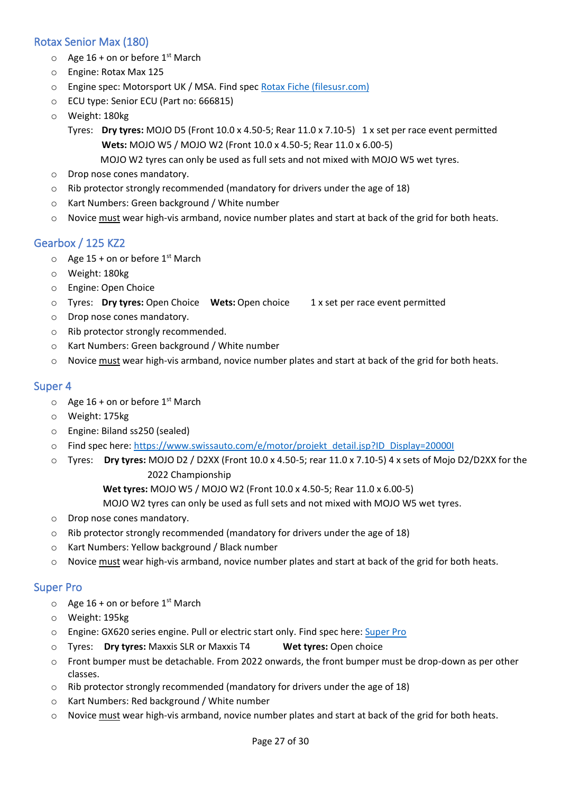## <span id="page-26-0"></span>Rotax Senior Max (180)

- $\circ$  Age 16 + on or before 1<sup>st</sup> March
- o Engine: Rotax Max 125
- o Engine spec: Motorsport UK / MSA. Find spec [Rotax Fiche \(filesusr.com\)](https://789ffa5e-6564-46e7-8783-f9cb90a4dceb.filesusr.com/ugd/a24324_cd19c198602346a5ac7963142e491491.pdf?index=true)
- o ECU type: Senior ECU (Part no: 666815)
- o Weight: 180kg
	- Tyres: **Dry tyres:** MOJO D5 (Front 10.0 x 4.50-5; Rear 11.0 x 7.10-5) 1 x set per race event permitted **Wets:** MOJO W5 / MOJO W2 (Front 10.0 x 4.50-5; Rear 11.0 x 6.00-5)
		- MOJO W2 tyres can only be used as full sets and not mixed with MOJO W5 wet tyres.
- o Drop nose cones mandatory.
- o Rib protector strongly recommended (mandatory for drivers under the age of 18)
- o Kart Numbers: Green background / White number
- o Novice must wear high-vis armband, novice number plates and start at back of the grid for both heats.

## <span id="page-26-1"></span>Gearbox / 125 KZ2

- $\circ$  Age 15 + on or before 1<sup>st</sup> March
- o Weight: 180kg
- o Engine: Open Choice
- o Tyres: **Dry tyres:** Open Choice **Wets:** Open choice 1 x set per race event permitted
- o Drop nose cones mandatory.
- o Rib protector strongly recommended.
- o Kart Numbers: Green background / White number
- o Novice must wear high-vis armband, novice number plates and start at back of the grid for both heats.

### <span id="page-26-2"></span>Super 4

- $\circ$  Age 16 + on or before 1<sup>st</sup> March
- o Weight: 175kg
- o Engine: Biland ss250 (sealed)
- o Find spec here: [https://www.swissauto.com/e/motor/projekt\\_detail.jsp?ID\\_Display=20000I](https://www.swissauto.com/e/motor/projekt_detail.jsp?ID_Display=20000I)
- o Tyres: **Dry tyres:** MOJO D2 / D2XX (Front 10.0 x 4.50-5; rear 11.0 x 7.10-5) 4 x sets of Mojo D2/D2XX for the 2022 Championship

**Wet tyres:** MOJO W5 / MOJO W2 (Front 10.0 x 4.50-5; Rear 11.0 x 6.00-5)

MOJO W2 tyres can only be used as full sets and not mixed with MOJO W5 wet tyres.

- o Drop nose cones mandatory.
- $\circ$  Rib protector strongly recommended (mandatory for drivers under the age of 18)
- o Kart Numbers: Yellow background / Black number
- o Novice must wear high-vis armband, novice number plates and start at back of the grid for both heats.

### <span id="page-26-3"></span>Super Pro

- $\circ$  Age 16 + on or before 1<sup>st</sup> March
- o Weight: 195kg
- o Engine: GX620 series engine. Pull or electric start only. Find spec here: [Super Pro](https://789ffa5e-6564-46e7-8783-f9cb90a4dceb.filesusr.com/ugd/a24324_7d33d6bf6155463c80d6931b9383b2df.pdf?index=true)
- o Tyres: **Dry tyres:** Maxxis SLR or Maxxis T4 **Wet tyres:** Open choice
- o Front bumper must be detachable. From 2022 onwards, the front bumper must be drop-down as per other classes.
- $\circ$  Rib protector strongly recommended (mandatory for drivers under the age of 18)
- o Kart Numbers: Red background / White number
- o Novice must wear high-vis armband, novice number plates and start at back of the grid for both heats.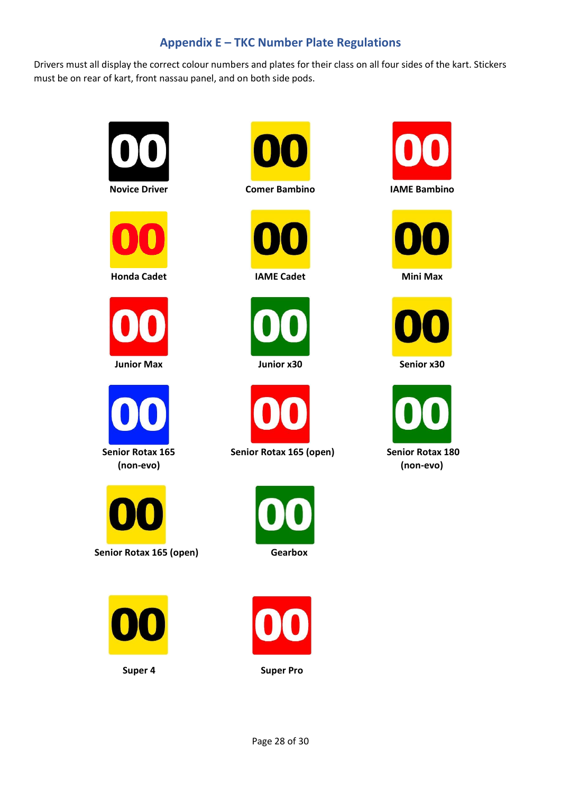## **Appendix E – TKC Number Plate Regulations**

<span id="page-27-0"></span>Drivers must all display the correct colour numbers and plates for their class on all four sides of the kart. Stickers must be on rear of kart, front nassau panel, and on both side pods.









**(non-evo)**













Senior Rotax 165 (open) Senior Rotax 180











 **(non-evo)**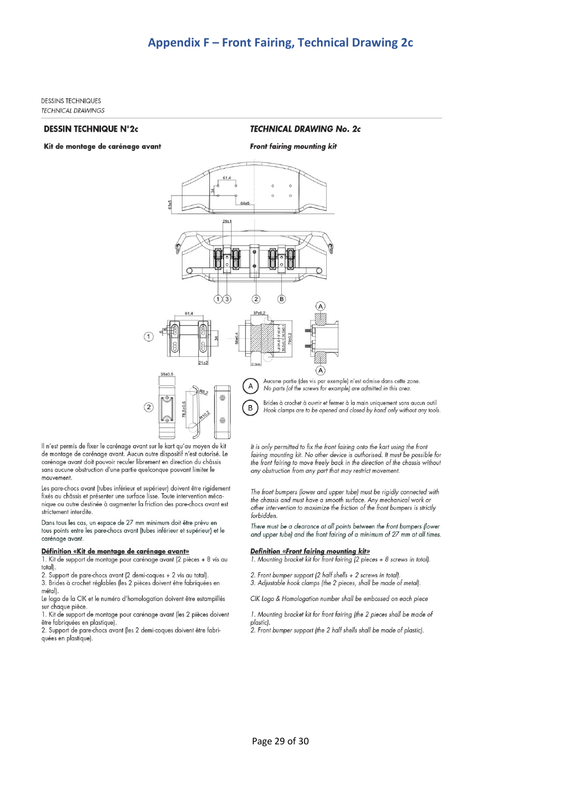<span id="page-28-0"></span>**DESSINS TECHNIQUES TECHNICAL DRAWINGS** 

#### **DESSIN TECHNIQUE N°2c**

Kit de montage de carénage avant

**TECHNICAL DRAWING No. 2c** 



 $\bigoplus$ 

Aucune partie (des vis par exemple) n'est admise dans cette zone. No parts (of the screws for example) are admitted in this area.

Brides à crochet à ouvrir et fermer à la main uniquement sans aucun outil Hook clamps are to be opened and closed by hand only without any tools.

Il n'est permis de fixer le carénage avant sur le kart qu'au moyen du kit de montage de carénage avant. Aucun autre dispositif n'est autorisé. Le carénage avant doit pouvoir reculer librement en direction du châssis sans aucune obstruction d'une partie quelconque pouvant limiter le mouvement.

Les pare-chocs avant (tubes inférieur et supérieur) doivent être rigidement fixés au châssis et présenter une surface lisse. Toute intervention mécanique ou autre destinée à augmenter la friction des pare-chocs avant est strictement interdite

#### Dans tous les cas, un espace de 27 mm minimum doit être prévu en tous points entre les pare-chocs avant (tubes inférieur et supérieur) et le carénage avant.

#### Définition «Kit de montage de carénage avant»

1. Kit de support de montage pour carénage avant (2 pièces + 8 vis au total)

2. Support de pare-chocs avant (2 demi-coques + 2 vis au total). 3. Brides à crochet réglables (les 2 pièces doivent être fabriquées en métal).

Le logo de la CIK et le numéro d'homologation doivent être estampillés sur chaque pièce

1. Kit de support de montage pour carénage avant (les 2 pièces doivent être fabriquées en plastique).

2. Support de pare-chocs avant (les 2 demi-coques doivent être fabriquées en plastique).

It is only permitted to fix the front fairing onto the kart using the front fairing mounting kit. No other device is authorised. It must be possible for the front fairing to move freely back in the direction of the chassis without any obstruction from any part that may restrict movement.

The front bumpers (lower and upper tube) must be rigidly connected with the chassis and must have a smooth surface. Any mechanical work or other intervention to maximize the friction of the front bumpers is strictly forbidden.

There must be a clearance at all points between the front bumpers (lower and upper tube) and the front fairing of a minimum of 27 mm at all times.

#### **Definition «Front fairing mounting kit»**

1. Mounting bracket kit for front fairing (2 pieces + 8 screws in total).

- 2. Front bumper support (2 half shells + 2 screws in total).
- 3. Adjustable hook clamps (the 2 pieces, shall be made of metal).

CIK Logo & Homologation number shall be embossed on each piece

1. Mounting bracket kit for front fairing (the 2 pieces shall be made of plastic).

2. Front bumper support (the 2 half shells shall be made of plastic).